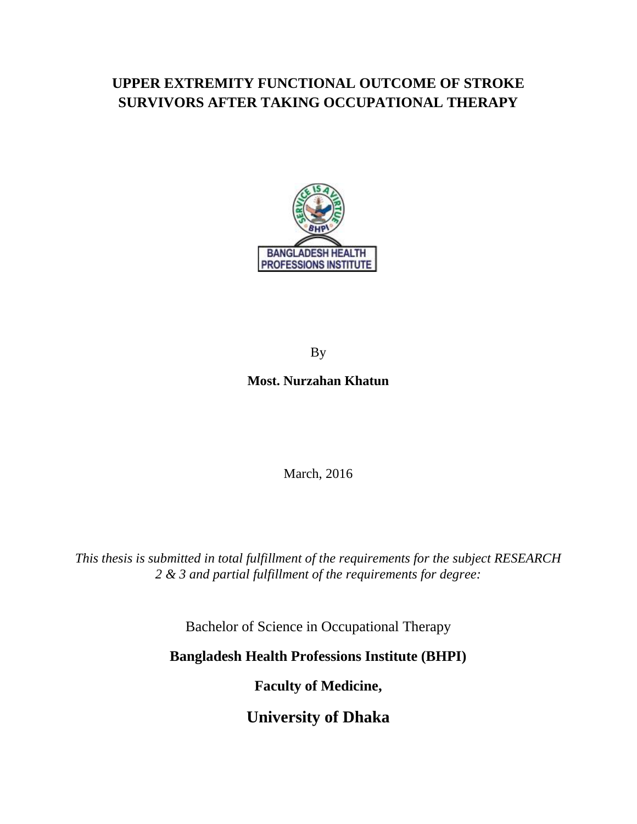# **UPPER EXTREMITY FUNCTIONAL OUTCOME OF STROKE SURVIVORS AFTER TAKING OCCUPATIONAL THERAPY**



By

# **Most. Nurzahan Khatun**

March, 2016

*This thesis is submitted in total fulfillment of the requirements for the subject RESEARCH 2 & 3 and partial fulfillment of the requirements for degree:* 

Bachelor of Science in Occupational Therapy

**Bangladesh Health Professions Institute (BHPI)** 

**Faculty of Medicine,**

**University of Dhaka**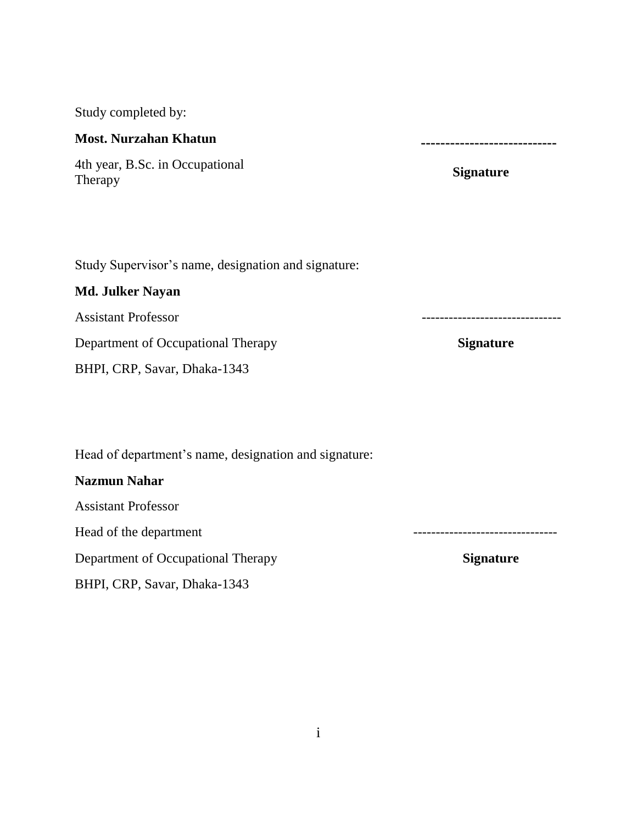Study completed by:

# **Most. Nurzahan Khatun**

4th year, B.Sc. in Occupational Therapy

 **----------------------------**

**Signature**

Study Supervisor's name, designation and signature:

## **Md. Julker Nayan**

Assistant Professor

**Department of Occupational Therapy Signature** 

BHPI, CRP, Savar, Dhaka-1343

Head of department's name, designation and signature:

### **Nazmun Nahar**

Assistant Professor

**Department of Occupational Therapy Signature** Signature

BHPI, CRP, Savar, Dhaka-1343

i

Head of the department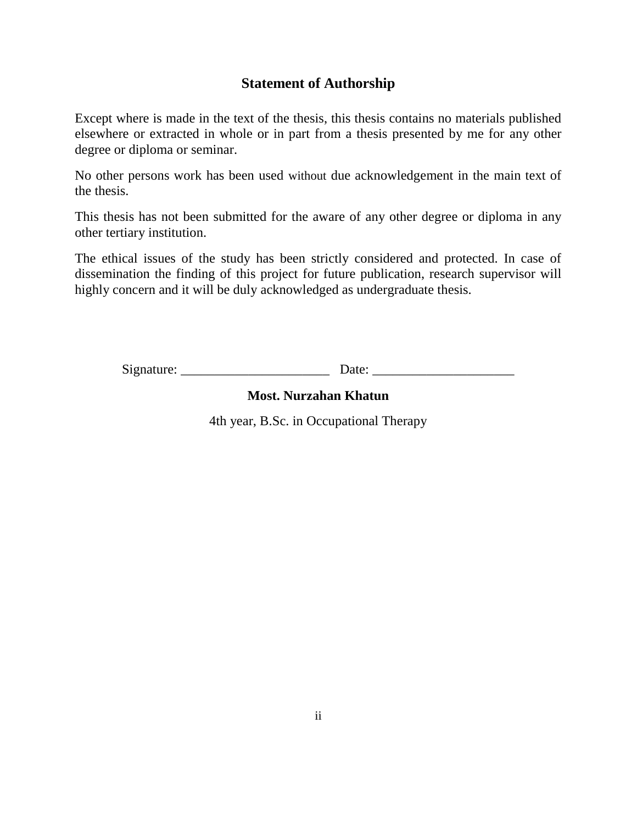# **Statement of Authorship**

Except where is made in the text of the thesis, this thesis contains no materials published elsewhere or extracted in whole or in part from a thesis presented by me for any other degree or diploma or seminar.

No other persons work has been used without due acknowledgement in the main text of the thesis.

This thesis has not been submitted for the aware of any other degree or diploma in any other tertiary institution.

The ethical issues of the study has been strictly considered and protected. In case of dissemination the finding of this project for future publication, research supervisor will highly concern and it will be duly acknowledged as undergraduate thesis.

Signature: \_\_\_\_\_\_\_\_\_\_\_\_\_\_\_\_\_\_\_\_\_\_ Date: \_\_\_\_\_\_\_\_\_\_\_\_\_\_\_\_\_\_\_\_\_

# **Most. Nurzahan Khatun**

4th year, B.Sc. in Occupational Therapy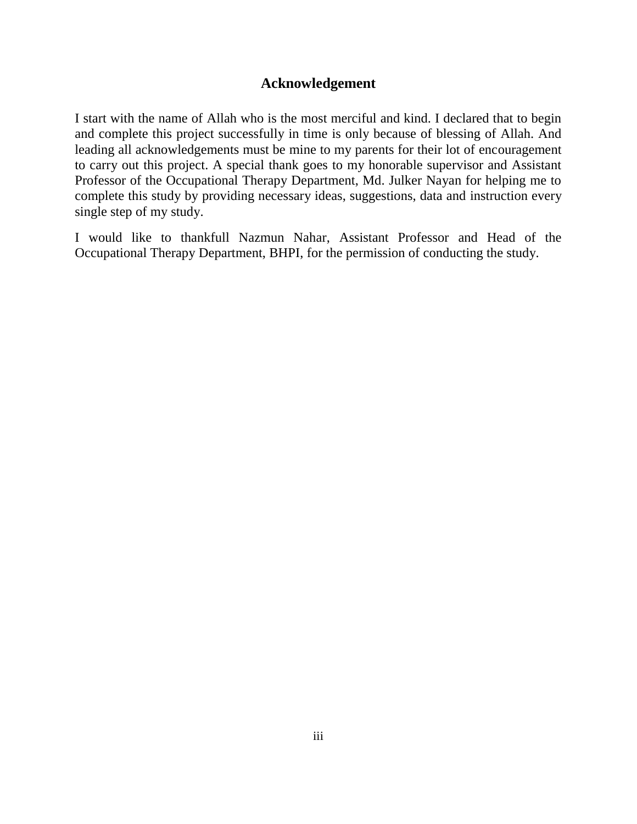# **Acknowledgement**

I start with the name of Allah who is the most merciful and kind. I declared that to begin and complete this project successfully in time is only because of blessing of Allah. And leading all acknowledgements must be mine to my parents for their lot of encouragement to carry out this project. A special thank goes to my honorable supervisor and Assistant Professor of the Occupational Therapy Department, Md. Julker Nayan for helping me to complete this study by providing necessary ideas, suggestions, data and instruction every single step of my study.

I would like to thankfull Nazmun Nahar, Assistant Professor and Head of the Occupational Therapy Department, BHPI, for the permission of conducting the study.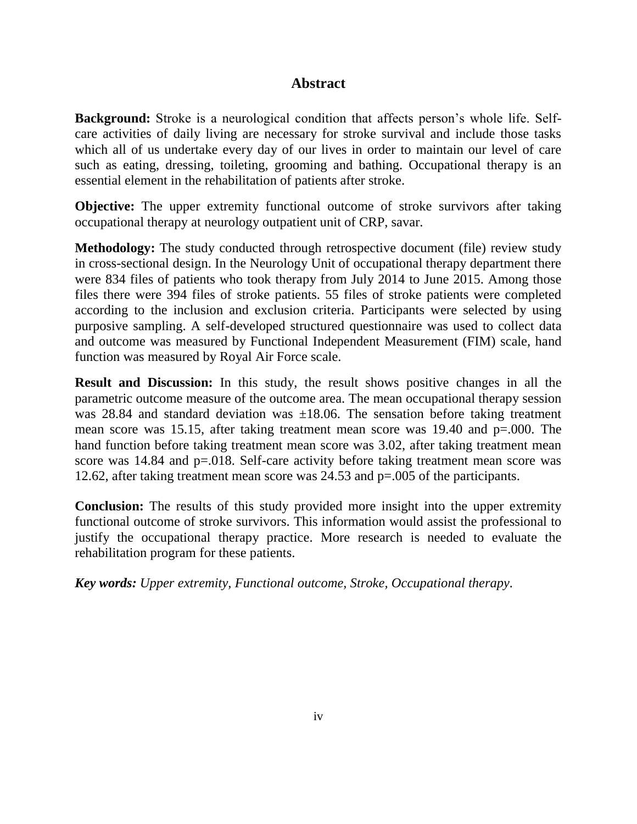# **Abstract**

**Background:** Stroke is a neurological condition that affects person's whole life. Selfcare activities of daily living are necessary for stroke survival and include those tasks which all of us undertake every day of our lives in order to maintain our level of care such as eating, dressing, toileting, grooming and bathing. Occupational therapy is an essential element in the rehabilitation of patients after stroke.

**Objective:** The upper extremity functional outcome of stroke survivors after taking occupational therapy at neurology outpatient unit of CRP, savar.

**Methodology:** The study conducted through retrospective document (file) review study in cross-sectional design. In the Neurology Unit of occupational therapy department there were 834 files of patients who took therapy from July 2014 to June 2015. Among those files there were 394 files of stroke patients. 55 files of stroke patients were completed according to the inclusion and exclusion criteria. Participants were selected by using purposive sampling. A self-developed structured questionnaire was used to collect data and outcome was measured by Functional Independent Measurement (FIM) scale, hand function was measured by Royal Air Force scale.

**Result and Discussion:** In this study, the result shows positive changes in all the parametric outcome measure of the outcome area. The mean occupational therapy session was 28.84 and standard deviation was  $\pm 18.06$ . The sensation before taking treatment mean score was 15.15, after taking treatment mean score was 19.40 and p=.000. The hand function before taking treatment mean score was 3.02, after taking treatment mean score was 14.84 and p=.018. Self-care activity before taking treatment mean score was 12.62, after taking treatment mean score was 24.53 and p=.005 of the participants.

**Conclusion:** The results of this study provided more insight into the upper extremity functional outcome of stroke survivors. This information would assist the professional to justify the occupational therapy practice. More research is needed to evaluate the rehabilitation program for these patients.

*Key words: Upper extremity, Functional outcome, Stroke, Occupational therapy.*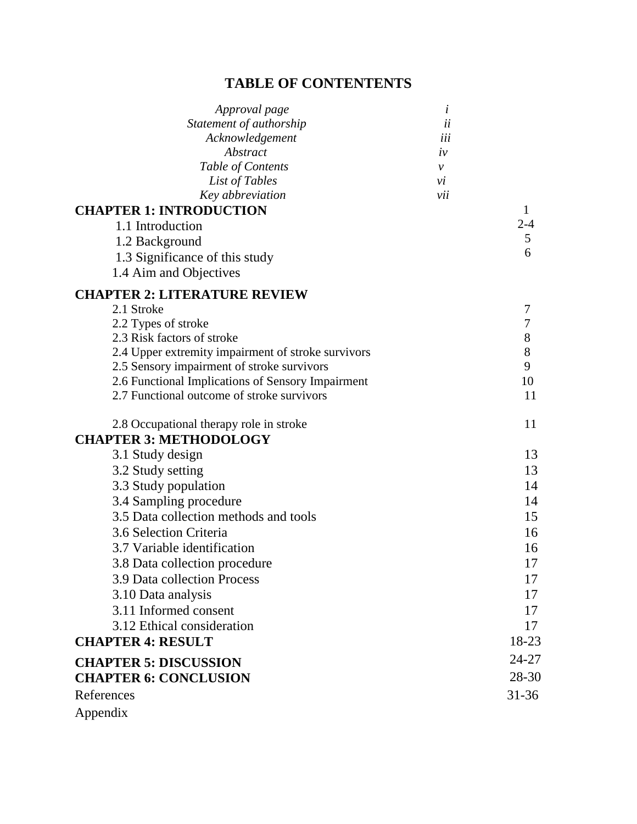# **TABLE OF CONTENTENTS**

| Approval page                                      | i   |              |
|----------------------------------------------------|-----|--------------|
| Statement of authorship                            | ii  |              |
| Acknowledgement                                    | iii |              |
| Abstract                                           | iv  |              |
| Table of Contents                                  | ν   |              |
| List of Tables                                     | vi  |              |
| Key abbreviation                                   | vii |              |
| <b>CHAPTER 1: INTRODUCTION</b>                     |     | $\mathbf{1}$ |
| 1.1 Introduction                                   |     | $2 - 4$      |
| 1.2 Background                                     |     | 5            |
| 1.3 Significance of this study                     |     | 6            |
| 1.4 Aim and Objectives                             |     |              |
| <b>CHAPTER 2: LITERATURE REVIEW</b>                |     |              |
| 2.1 Stroke                                         |     | 7            |
| 2.2 Types of stroke                                |     | 7            |
| 2.3 Risk factors of stroke                         |     | 8            |
| 2.4 Upper extremity impairment of stroke survivors |     | 8            |
| 2.5 Sensory impairment of stroke survivors         |     | 9            |
| 2.6 Functional Implications of Sensory Impairment  |     | 10           |
| 2.7 Functional outcome of stroke survivors         |     | 11           |
| 2.8 Occupational therapy role in stroke            |     | 11           |
| <b>CHAPTER 3: METHODOLOGY</b>                      |     |              |
| 3.1 Study design                                   |     | 13           |
| 3.2 Study setting                                  |     | 13           |
|                                                    |     | 14           |
| 3.3 Study population                               |     |              |
| 3.4 Sampling procedure                             |     | 14           |
| 3.5 Data collection methods and tools              |     | 15           |
| 3.6 Selection Criteria                             |     | 16           |
| 3.7 Variable identification                        |     | 16           |
| 3.8 Data collection procedure                      |     | 17           |
| 3.9 Data collection Process                        |     | 17           |
| 3.10 Data analysis                                 |     | 17           |
| 3.11 Informed consent                              |     | 17           |
| 3.12 Ethical consideration                         |     | 17           |
| <b>CHAPTER 4: RESULT</b>                           |     | 18-23        |
| <b>CHAPTER 5: DISCUSSION</b>                       |     | 24-27        |
| <b>CHAPTER 6: CONCLUSION</b>                       |     | 28-30        |
| References                                         |     | 31-36        |
| Appendix                                           |     |              |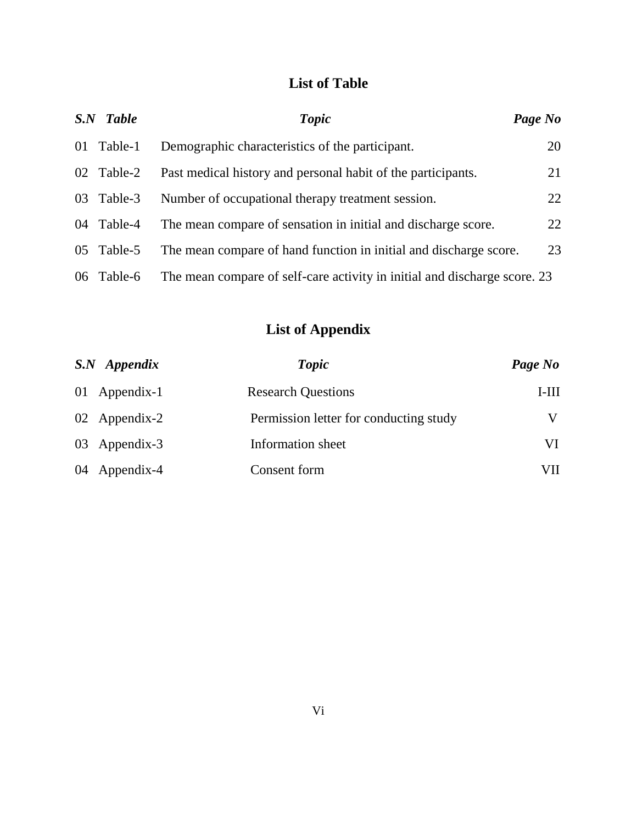# **List of Table**

| S.N Table  | <b>Topic</b>                                                              | Page No |
|------------|---------------------------------------------------------------------------|---------|
| 01 Table-1 | Demographic characteristics of the participant.                           | 20      |
| 02 Table-2 | Past medical history and personal habit of the participants.              | 21      |
| 03 Table-3 | Number of occupational therapy treatment session.                         | 22      |
| 04 Table-4 | The mean compare of sensation in initial and discharge score.             | 22      |
| 05 Table-5 | The mean compare of hand function in initial and discharge score.         | 23      |
| 06 Table-6 | The mean compare of self-care activity in initial and discharge score. 23 |         |

# **List of Appendix**

| $S.N$ Appendix | <b>Topic</b>                           | Page No |
|----------------|----------------------------------------|---------|
| 01 Appendix-1  | <b>Research Questions</b>              | $I-III$ |
| 02 Appendix-2  | Permission letter for conducting study | V       |
| 03 Appendix-3  | Information sheet                      | VI      |
| 04 Appendix-4  | Consent form                           | VП      |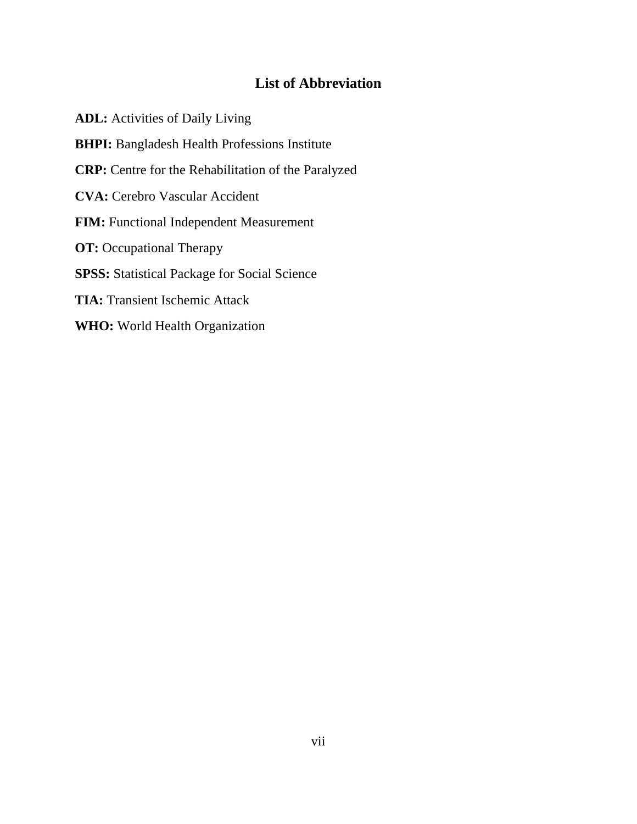# **List of Abbreviation**

**ADL:** Activities of Daily Living **BHPI:** Bangladesh Health Professions Institute **CRP:** Centre for the Rehabilitation of the Paralyzed **CVA:** Cerebro Vascular Accident **FIM:** Functional Independent Measurement **OT:** Occupational Therapy **SPSS:** Statistical Package for Social Science **TIA:** Transient Ischemic Attack **WHO:** World Health Organization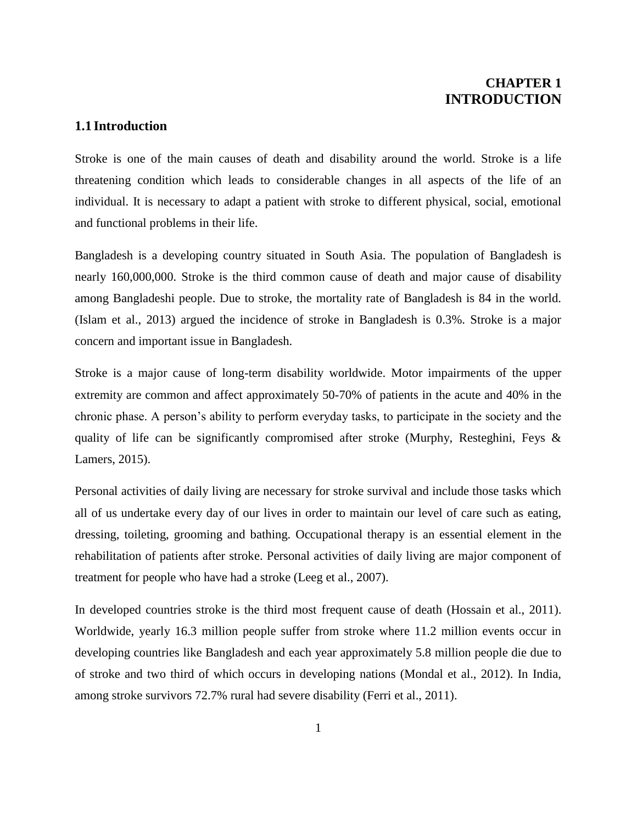# **CHAPTER 1 INTRODUCTION**

### **1.1 Introduction**

Stroke is one of the main causes of death and disability around the world. Stroke is a life threatening condition which leads to considerable changes in all aspects of the life of an individual. It is necessary to adapt a patient with stroke to different physical, social, emotional and functional problems in their life.

Bangladesh is a developing country situated in South Asia. The population of Bangladesh is nearly 160,000,000. Stroke is the third common cause of death and major cause of disability among Bangladeshi people. Due to stroke, the mortality rate of Bangladesh is 84 in the world. (Islam et al., 2013) argued the incidence of stroke in Bangladesh is 0.3%. Stroke is a major concern and important issue in Bangladesh.

Stroke is a major cause of long-term disability worldwide. Motor impairments of the upper extremity are common and affect approximately 50-70% of patients in the acute and 40% in the chronic phase. A person's ability to perform everyday tasks, to participate in the society and the quality of life can be significantly compromised after stroke (Murphy, Resteghini, Feys & Lamers, 2015).

Personal activities of daily living are necessary for stroke survival and include those tasks which all of us undertake every day of our lives in order to maintain our level of care such as eating, dressing, toileting, grooming and bathing. Occupational therapy is an essential element in the rehabilitation of patients after stroke. Personal activities of daily living are major component of treatment for people who have had a stroke (Leeg et al., 2007).

In developed countries stroke is the third most frequent cause of death (Hossain et al., 2011). Worldwide, yearly 16.3 million people suffer from stroke where 11.2 million events occur in developing countries like Bangladesh and each year approximately 5.8 million people die due to of stroke and two third of which occurs in developing nations (Mondal et al., 2012). In India, among stroke survivors 72.7% rural had severe disability (Ferri et al., 2011).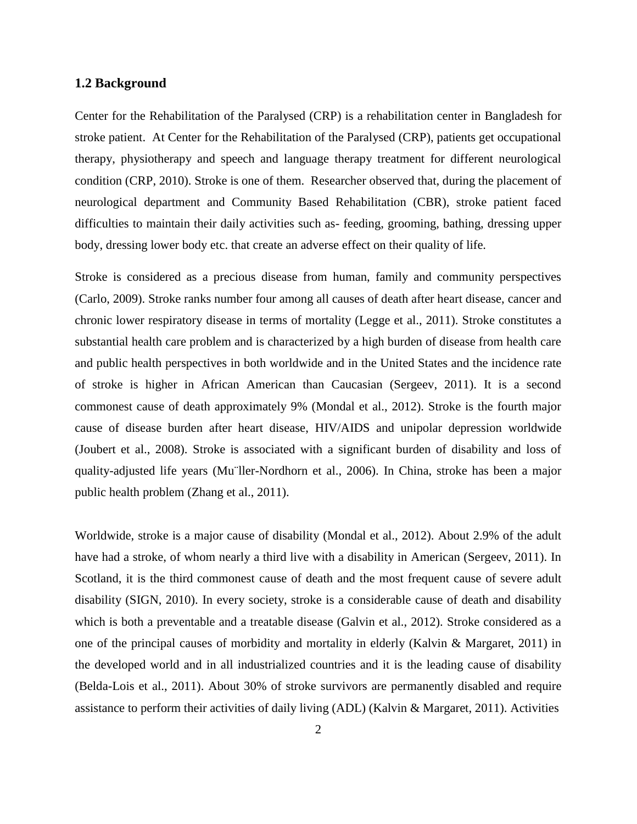#### **1.2 Background**

Center for the Rehabilitation of the Paralysed (CRP) is a rehabilitation center in Bangladesh for stroke patient. At Center for the Rehabilitation of the Paralysed (CRP), patients get occupational therapy, physiotherapy and speech and language therapy treatment for different neurological condition (CRP, 2010). Stroke is one of them. Researcher observed that, during the placement of neurological department and Community Based Rehabilitation (CBR), stroke patient faced difficulties to maintain their daily activities such as- feeding, grooming, bathing, dressing upper body, dressing lower body etc. that create an adverse effect on their quality of life.

Stroke is considered as a precious disease from human, family and community perspectives (Carlo, 2009). Stroke ranks number four among all causes of death after heart disease, cancer and chronic lower respiratory disease in terms of mortality (Legge et al., 2011). Stroke constitutes a substantial health care problem and is characterized by a high burden of disease from health care and public health perspectives in both worldwide and in the United States and the incidence rate of stroke is higher in African American than Caucasian (Sergeev, 2011). It is a second commonest cause of death approximately 9% (Mondal et al., 2012). Stroke is the fourth major cause of disease burden after heart disease, HIV/AIDS and unipolar depression worldwide (Joubert et al., 2008). Stroke is associated with a significant burden of disability and loss of quality-adjusted life years (Mu¨ller-Nordhorn et al., 2006). In China, stroke has been a major public health problem (Zhang et al., 2011).

Worldwide, stroke is a major cause of disability (Mondal et al., 2012). About 2.9% of the adult have had a stroke, of whom nearly a third live with a disability in American (Sergeev, 2011). In Scotland, it is the third commonest cause of death and the most frequent cause of severe adult disability (SIGN, 2010). In every society, stroke is a considerable cause of death and disability which is both a preventable and a treatable disease (Galvin et al., 2012). Stroke considered as a one of the principal causes of morbidity and mortality in elderly (Kalvin & Margaret, 2011) in the developed world and in all industrialized countries and it is the leading cause of disability (Belda-Lois et al., 2011). About 30% of stroke survivors are permanently disabled and require assistance to perform their activities of daily living (ADL) (Kalvin & Margaret, 2011). Activities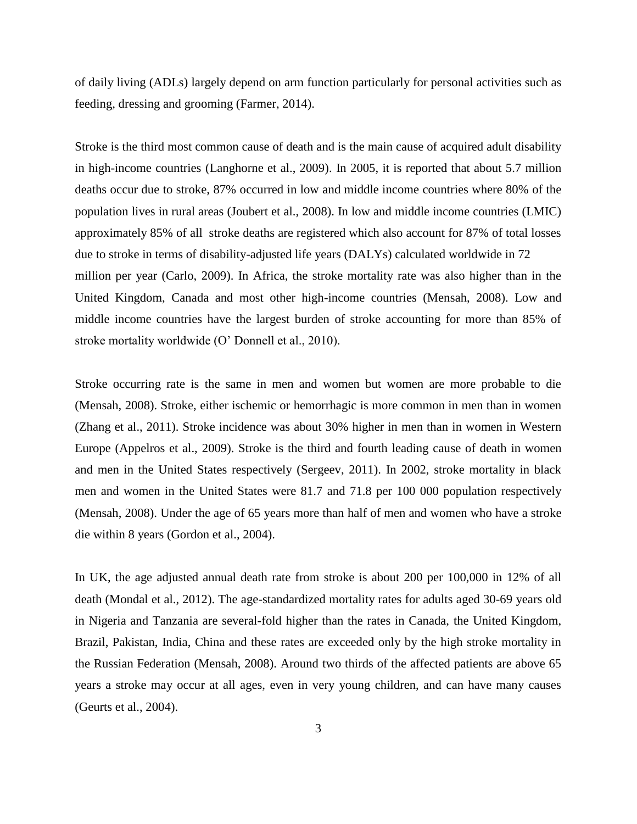of daily living (ADLs) largely depend on arm function particularly for personal activities such as feeding, dressing and grooming (Farmer, 2014).

Stroke is the third most common cause of death and is the main cause of acquired adult disability in high-income countries (Langhorne et al., 2009). In 2005, it is reported that about 5.7 million deaths occur due to stroke, 87% occurred in low and middle income countries where 80% of the population lives in rural areas (Joubert et al., 2008). In low and middle income countries (LMIC) approximately 85% of all stroke deaths are registered which also account for 87% of total losses due to stroke in terms of disability-adjusted life years (DALYs) calculated worldwide in 72 million per year (Carlo, 2009). In Africa, the stroke mortality rate was also higher than in the United Kingdom, Canada and most other high-income countries (Mensah, 2008). Low and middle income countries have the largest burden of stroke accounting for more than 85% of stroke mortality worldwide (O' Donnell et al., 2010).

Stroke occurring rate is the same in men and women but women are more probable to die (Mensah, 2008). Stroke, either ischemic or hemorrhagic is more common in men than in women (Zhang et al., 2011). Stroke incidence was about 30% higher in men than in women in Western Europe (Appelros et al., 2009). Stroke is the third and fourth leading cause of death in women and men in the United States respectively (Sergeev, 2011). In 2002, stroke mortality in black men and women in the United States were 81.7 and 71.8 per 100 000 population respectively (Mensah, 2008). Under the age of 65 years more than half of men and women who have a stroke die within 8 years (Gordon et al., 2004).

In UK, the age adjusted annual death rate from stroke is about 200 per 100,000 in 12% of all death (Mondal et al., 2012). The age-standardized mortality rates for adults aged 30-69 years old in Nigeria and Tanzania are several-fold higher than the rates in Canada, the United Kingdom, Brazil, Pakistan, India, China and these rates are exceeded only by the high stroke mortality in the Russian Federation (Mensah, 2008). Around two thirds of the affected patients are above 65 years a stroke may occur at all ages, even in very young children, and can have many causes (Geurts et al., 2004).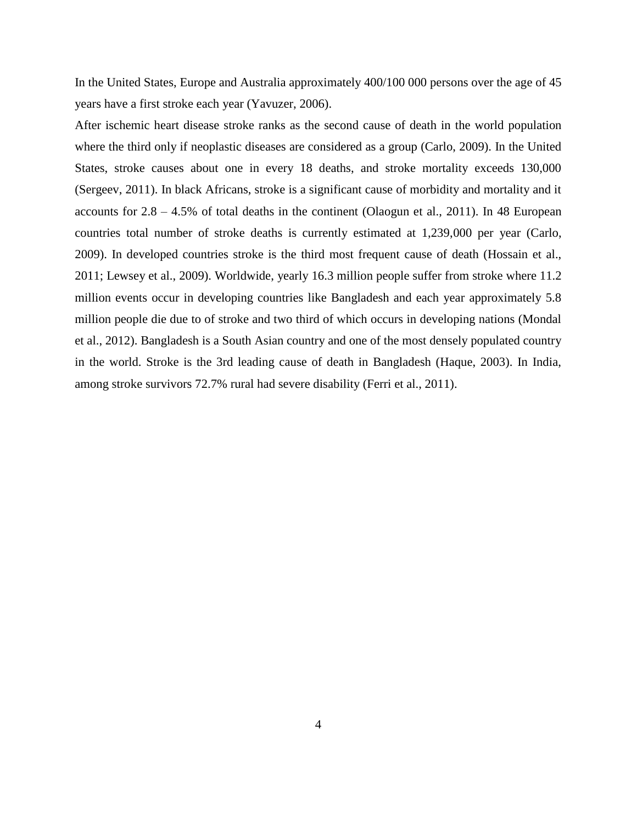In the United States, Europe and Australia approximately 400/100 000 persons over the age of 45 years have a first stroke each year (Yavuzer, 2006).

After ischemic heart disease stroke ranks as the second cause of death in the world population where the third only if neoplastic diseases are considered as a group (Carlo, 2009). In the United States, stroke causes about one in every 18 deaths, and stroke mortality exceeds 130,000 (Sergeev, 2011). In black Africans, stroke is a significant cause of morbidity and mortality and it accounts for 2.8 – 4.5% of total deaths in the continent (Olaogun et al., 2011). In 48 European countries total number of stroke deaths is currently estimated at 1,239,000 per year (Carlo, 2009). In developed countries stroke is the third most frequent cause of death (Hossain et al., 2011; Lewsey et al., 2009). Worldwide, yearly 16.3 million people suffer from stroke where 11.2 million events occur in developing countries like Bangladesh and each year approximately 5.8 million people die due to of stroke and two third of which occurs in developing nations (Mondal et al., 2012). Bangladesh is a South Asian country and one of the most densely populated country in the world. Stroke is the 3rd leading cause of death in Bangladesh (Haque, 2003). In India, among stroke survivors 72.7% rural had severe disability (Ferri et al., 2011).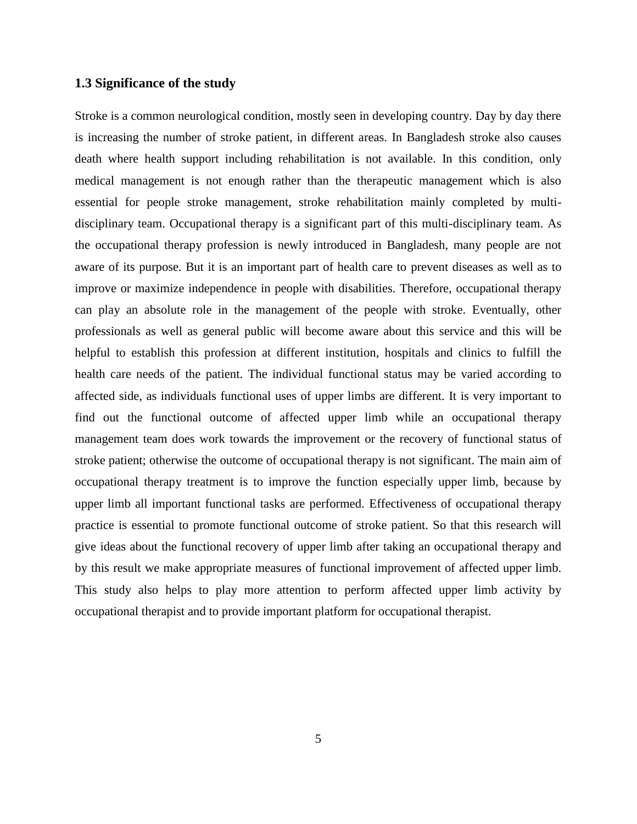#### **1.3 Significance of the study**

Stroke is a common neurological condition, mostly seen in developing country. Day by day there is increasing the number of stroke patient, in different areas. In Bangladesh stroke also causes death where health support including rehabilitation is not available. In this condition, only medical management is not enough rather than the therapeutic management which is also essential for people stroke management, stroke rehabilitation mainly completed by multidisciplinary team. Occupational therapy is a significant part of this multi-disciplinary team. As the occupational therapy profession is newly introduced in Bangladesh, many people are not aware of its purpose. But it is an important part of health care to prevent diseases as well as to improve or maximize independence in people with disabilities. Therefore, occupational therapy can play an absolute role in the management of the people with stroke. Eventually, other professionals as well as general public will become aware about this service and this will be helpful to establish this profession at different institution, hospitals and clinics to fulfill the health care needs of the patient. The individual functional status may be varied according to affected side, as individuals functional uses of upper limbs are different. It is very important to find out the functional outcome of affected upper limb while an occupational therapy management team does work towards the improvement or the recovery of functional status of stroke patient; otherwise the outcome of occupational therapy is not significant. The main aim of occupational therapy treatment is to improve the function especially upper limb, because by upper limb all important functional tasks are performed. Effectiveness of occupational therapy practice is essential to promote functional outcome of stroke patient. So that this research will give ideas about the functional recovery of upper limb after taking an occupational therapy and by this result we make appropriate measures of functional improvement of affected upper limb. This study also helps to play more attention to perform affected upper limb activity by occupational therapist and to provide important platform for occupational therapist.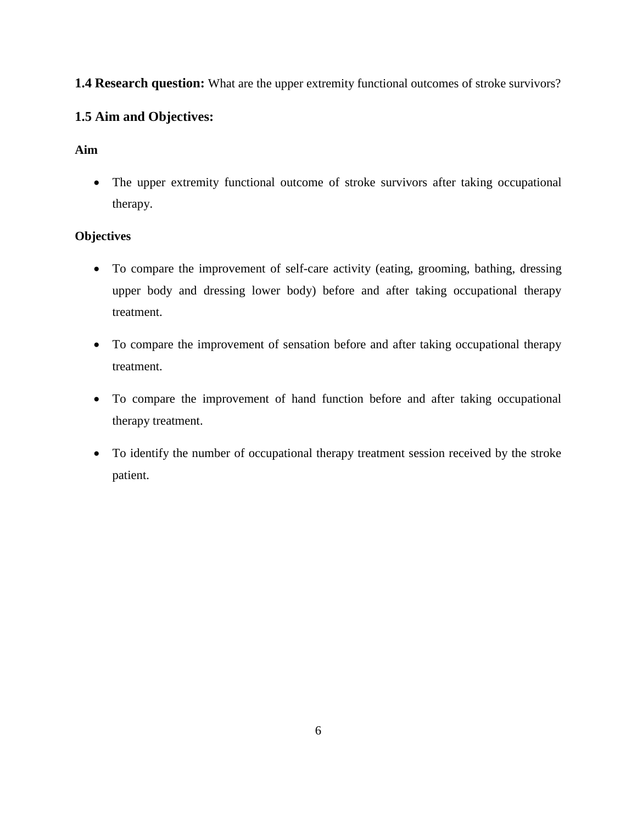# **1.4 Research question:** What are the upper extremity functional outcomes of stroke survivors?

# **1.5 Aim and Objectives:**

## **Aim**

 The upper extremity functional outcome of stroke survivors after taking occupational therapy.

## **Objectives**

- To compare the improvement of self-care activity (eating, grooming, bathing, dressing upper body and dressing lower body) before and after taking occupational therapy treatment.
- To compare the improvement of sensation before and after taking occupational therapy treatment.
- To compare the improvement of hand function before and after taking occupational therapy treatment.
- To identify the number of occupational therapy treatment session received by the stroke patient.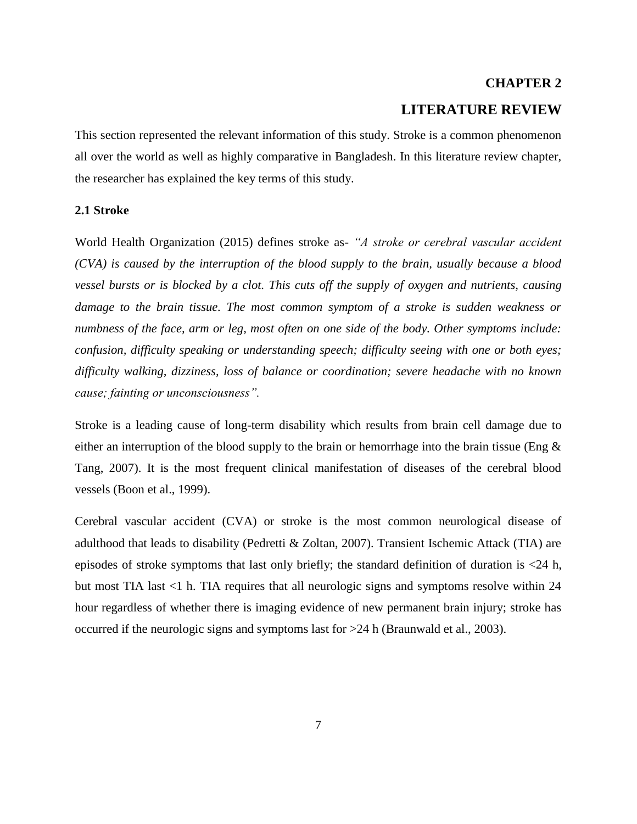# **CHAPTER 2 LITERATURE REVIEW**

This section represented the relevant information of this study. Stroke is a common phenomenon all over the world as well as highly comparative in Bangladesh. In this literature review chapter, the researcher has explained the key terms of this study.

#### **2.1 Stroke**

World Health Organization (2015) defines stroke as- *"A stroke or cerebral vascular accident (CVA) is caused by the interruption of the blood supply to the brain, usually because a blood vessel bursts or is blocked by a clot. This cuts off the supply of oxygen and nutrients, causing damage to the brain tissue. The most common symptom of a stroke is sudden weakness or numbness of the face, arm or leg, most often on one side of the body. Other symptoms include: confusion, difficulty speaking or understanding speech; difficulty seeing with one or both eyes; difficulty walking, dizziness, loss of balance or coordination; severe headache with no known cause; fainting or unconsciousness".* 

Stroke is a leading cause of long-term disability which results from brain cell damage due to either an interruption of the blood supply to the brain or hemorrhage into the brain tissue (Eng & Tang, 2007). It is the most frequent clinical manifestation of diseases of the cerebral blood vessels (Boon et al., 1999).

Cerebral vascular accident (CVA) or stroke is the most common neurological disease of adulthood that leads to disability (Pedretti & Zoltan, 2007). Transient Ischemic Attack (TIA) are episodes of stroke symptoms that last only briefly; the standard definition of duration is <24 h, but most TIA last <1 h. TIA requires that all neurologic signs and symptoms resolve within 24 hour regardless of whether there is imaging evidence of new permanent brain injury; stroke has occurred if the neurologic signs and symptoms last for >24 h (Braunwald et al., 2003).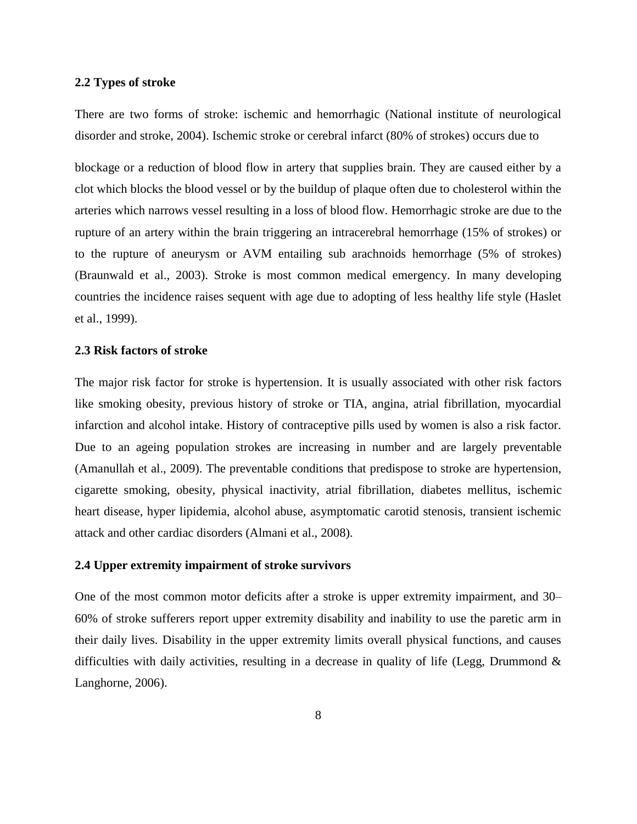#### **2.2 Types of stroke**

There are two forms of stroke: ischemic and hemorrhagic (National institute of neurological disorder and stroke, 2004). Ischemic stroke or cerebral infarct (80% of strokes) occurs due to

blockage or a reduction of blood flow in artery that supplies brain. They are caused either by a clot which blocks the blood vessel or by the buildup of plaque often due to cholesterol within the arteries which narrows vessel resulting in a loss of blood flow. Hemorrhagic stroke are due to the rupture of an artery within the brain triggering an intracerebral hemorrhage (15% of strokes) or to the rupture of aneurysm or AVM entailing sub arachnoids hemorrhage (5% of strokes) (Braunwald et al., 2003). Stroke is most common medical emergency. In many developing countries the incidence raises sequent with age due to adopting of less healthy life style (Haslet et al., 1999).

#### **2.3 Risk factors of stroke**

The major risk factor for stroke is hypertension. It is usually associated with other risk factors like smoking obesity, previous history of stroke or TIA, angina, atrial fibrillation, myocardial infarction and alcohol intake. History of contraceptive pills used by women is also a risk factor. Due to an ageing population strokes are increasing in number and are largely preventable (Amanullah et al., 2009). The preventable conditions that predispose to stroke are hypertension, cigarette smoking, obesity, physical inactivity, atrial fibrillation, diabetes mellitus, ischemic heart disease, hyper lipidemia, alcohol abuse, asymptomatic carotid stenosis, transient ischemic attack and other cardiac disorders (Almani et al., 2008).

#### **2.4 Upper extremity impairment of stroke survivors**

One of the most common motor deficits after a stroke is upper extremity impairment, and 30– 60% of stroke sufferers report upper extremity disability and inability to use the paretic arm in their daily lives. Disability in the upper extremity limits overall physical functions, and causes difficulties with daily activities, resulting in a decrease in quality of life (Legg, Drummond  $\&$ Langhorne, 2006).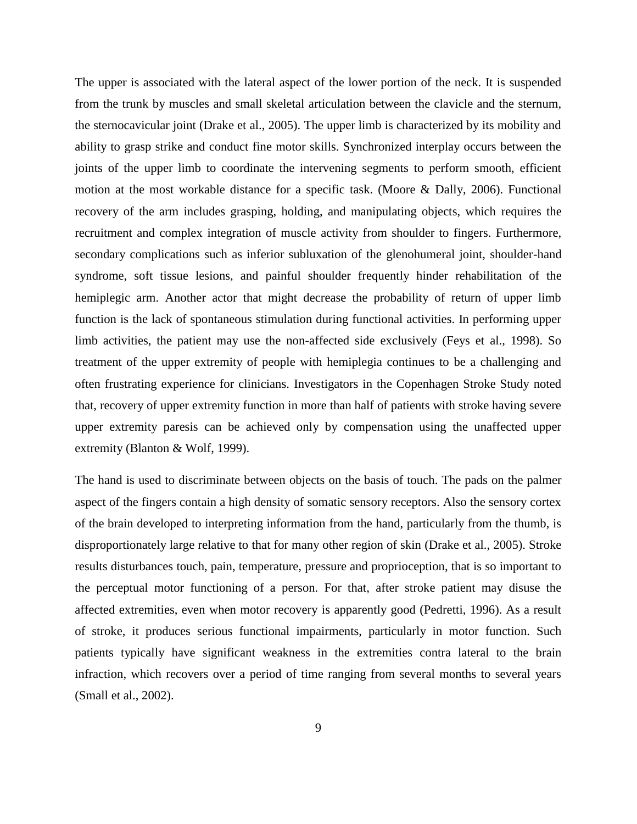The upper is associated with the lateral aspect of the lower portion of the neck. It is suspended from the trunk by muscles and small skeletal articulation between the clavicle and the sternum, the sternocavicular joint (Drake et al., 2005). The upper limb is characterized by its mobility and ability to grasp strike and conduct fine motor skills. Synchronized interplay occurs between the joints of the upper limb to coordinate the intervening segments to perform smooth, efficient motion at the most workable distance for a specific task. (Moore & Dally, 2006). Functional recovery of the arm includes grasping, holding, and manipulating objects, which requires the recruitment and complex integration of muscle activity from shoulder to fingers. Furthermore, secondary complications such as inferior subluxation of the glenohumeral joint, shoulder-hand syndrome, soft tissue lesions, and painful shoulder frequently hinder rehabilitation of the hemiplegic arm. Another actor that might decrease the probability of return of upper limb function is the lack of spontaneous stimulation during functional activities. In performing upper limb activities, the patient may use the non-affected side exclusively (Feys et al., 1998). So treatment of the upper extremity of people with hemiplegia continues to be a challenging and often frustrating experience for clinicians. Investigators in the Copenhagen Stroke Study noted that, recovery of upper extremity function in more than half of patients with stroke having severe upper extremity paresis can be achieved only by compensation using the unaffected upper extremity (Blanton & Wolf, 1999).

The hand is used to discriminate between objects on the basis of touch. The pads on the palmer aspect of the fingers contain a high density of somatic sensory receptors. Also the sensory cortex of the brain developed to interpreting information from the hand, particularly from the thumb, is disproportionately large relative to that for many other region of skin (Drake et al., 2005). Stroke results disturbances touch, pain, temperature, pressure and proprioception, that is so important to the perceptual motor functioning of a person. For that, after stroke patient may disuse the affected extremities, even when motor recovery is apparently good (Pedretti, 1996). As a result of stroke, it produces serious functional impairments, particularly in motor function. Such patients typically have significant weakness in the extremities contra lateral to the brain infraction, which recovers over a period of time ranging from several months to several years (Small et al., 2002).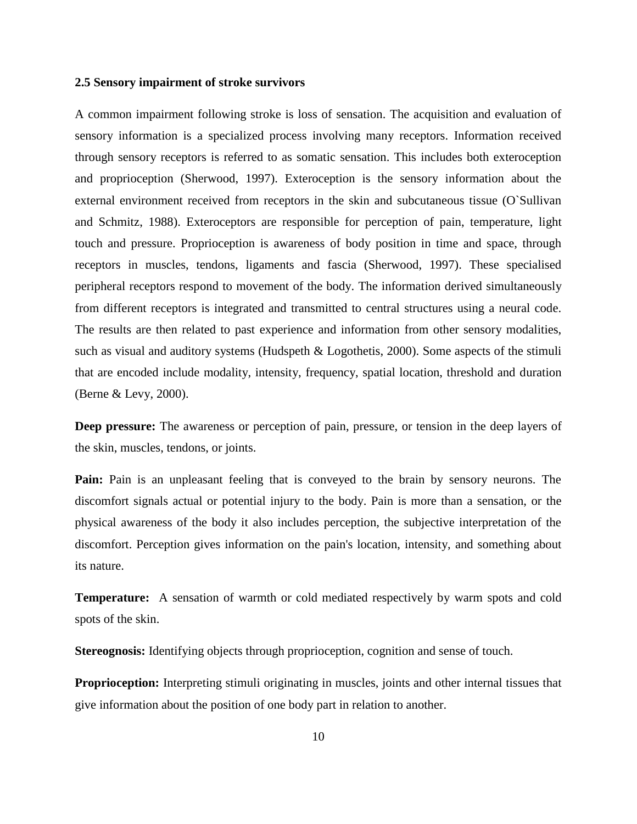#### **2.5 Sensory impairment of stroke survivors**

A common impairment following stroke is loss of sensation. The acquisition and evaluation of sensory information is a specialized process involving many receptors. Information received through sensory receptors is referred to as somatic sensation. This includes both exteroception and proprioception (Sherwood, 1997). Exteroception is the sensory information about the external environment received from receptors in the skin and subcutaneous tissue (O`Sullivan and Schmitz, 1988). Exteroceptors are responsible for perception of pain, temperature, light touch and pressure. Proprioception is awareness of body position in time and space, through receptors in muscles, tendons, ligaments and fascia (Sherwood, 1997). These specialised peripheral receptors respond to movement of the body. The information derived simultaneously from different receptors is integrated and transmitted to central structures using a neural code. The results are then related to past experience and information from other sensory modalities, such as visual and auditory systems (Hudspeth & Logothetis, 2000). Some aspects of the stimuli that are encoded include modality, intensity, frequency, spatial location, threshold and duration (Berne & Levy, 2000).

**Deep pressure:** The awareness or perception of pain, pressure, or tension in the deep layers of the skin, muscles, tendons, or joints.

Pain: Pain is an unpleasant feeling that is conveyed to the brain by sensory neurons. The discomfort signals actual or potential injury to the body. Pain is more than a sensation, or the physical awareness of the body it also includes perception, the subjective interpretation of the discomfort. Perception gives information on the pain's location, intensity, and something about its nature.

**Temperature:** A sensation of warmth or cold mediated respectively by warm spots and cold spots of the skin.

**Stereognosis:** Identifying objects through proprioception, cognition and sense of touch.

**Proprioception:** Interpreting stimuli originating in muscles, joints and other internal tissues that give information about the position of one body part in relation to another.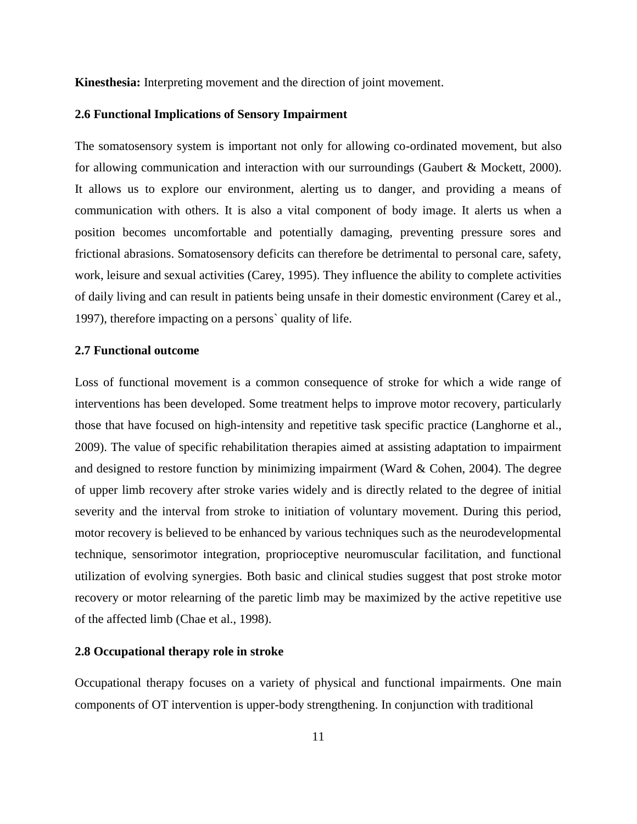**Kinesthesia:** Interpreting movement and the direction of joint movement.

#### **2.6 Functional Implications of Sensory Impairment**

The somatosensory system is important not only for allowing co-ordinated movement, but also for allowing communication and interaction with our surroundings (Gaubert & Mockett, 2000). It allows us to explore our environment, alerting us to danger, and providing a means of communication with others. It is also a vital component of body image. It alerts us when a position becomes uncomfortable and potentially damaging, preventing pressure sores and frictional abrasions. Somatosensory deficits can therefore be detrimental to personal care, safety, work, leisure and sexual activities (Carey, 1995). They influence the ability to complete activities of daily living and can result in patients being unsafe in their domestic environment (Carey et al., 1997), therefore impacting on a persons` quality of life.

#### **2.7 Functional outcome**

Loss of functional movement is a common consequence of stroke for which a wide range of interventions has been developed. Some treatment helps to improve motor recovery, particularly those that have focused on high-intensity and repetitive task specific practice (Langhorne et al., 2009). The value of specific rehabilitation therapies aimed at assisting adaptation to impairment and designed to restore function by minimizing impairment (Ward & Cohen, 2004). The degree of upper limb recovery after stroke varies widely and is directly related to the degree of initial severity and the interval from stroke to initiation of voluntary movement. During this period, motor recovery is believed to be enhanced by various techniques such as the neurodevelopmental technique, sensorimotor integration, proprioceptive neuromuscular facilitation, and functional utilization of evolving synergies. Both basic and clinical studies suggest that post stroke motor recovery or motor relearning of the paretic limb may be maximized by the active repetitive use of the affected limb (Chae et al., 1998).

#### **2.8 Occupational therapy role in stroke**

Occupational therapy focuses on a variety of physical and functional impairments. One main components of OT intervention is upper-body strengthening. In conjunction with traditional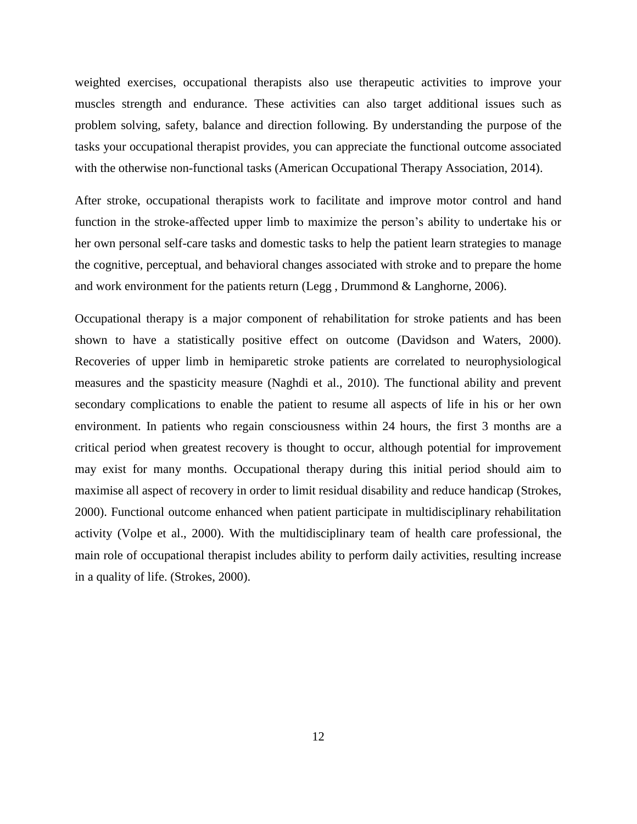weighted exercises, occupational therapists also use therapeutic activities to improve your muscles strength and endurance. These activities can also target additional issues such as problem solving, safety, balance and direction following. By understanding the purpose of the tasks your occupational therapist provides, you can appreciate the functional outcome associated with the otherwise non-functional tasks (American Occupational Therapy Association, 2014).

After stroke, occupational therapists work to facilitate and improve motor control and hand function in the stroke-affected upper limb to maximize the person's ability to undertake his or her own personal self-care tasks and domestic tasks to help the patient learn strategies to manage the cognitive, perceptual, and behavioral changes associated with stroke and to prepare the home and work environment for the patients return (Legg , Drummond & Langhorne, 2006).

Occupational therapy is a major component of rehabilitation for stroke patients and has been shown to have a statistically positive effect on outcome (Davidson and Waters, 2000). Recoveries of upper limb in hemiparetic stroke patients are correlated to neurophysiological measures and the spasticity measure (Naghdi et al., 2010). The functional ability and prevent secondary complications to enable the patient to resume all aspects of life in his or her own environment. In patients who regain consciousness within 24 hours, the first 3 months are a critical period when greatest recovery is thought to occur, although potential for improvement may exist for many months. Occupational therapy during this initial period should aim to maximise all aspect of recovery in order to limit residual disability and reduce handicap (Strokes, 2000). Functional outcome enhanced when patient participate in multidisciplinary rehabilitation activity (Volpe et al., 2000). With the multidisciplinary team of health care professional, the main role of occupational therapist includes ability to perform daily activities, resulting increase in a quality of life. (Strokes, 2000).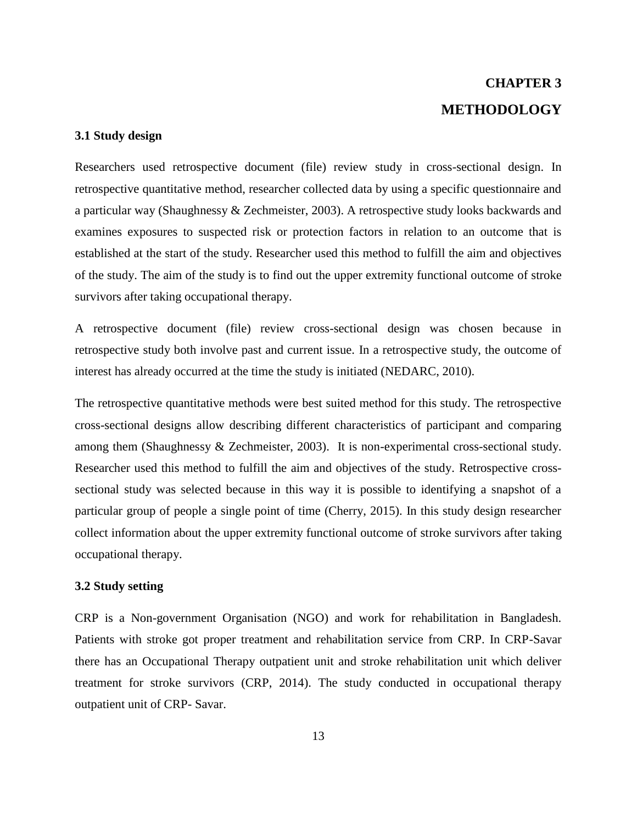# **CHAPTER 3 METHODOLOGY**

#### **3.1 Study design**

Researchers used retrospective document (file) review study in cross-sectional design. In retrospective quantitative method, researcher collected data by using a specific questionnaire and a particular way (Shaughnessy & Zechmeister, 2003). A retrospective study looks backwards and examines exposures to suspected risk or protection factors in relation to an outcome that is established at the start of the study. Researcher used this method to fulfill the aim and objectives of the study. The aim of the study is to find out the upper extremity functional outcome of stroke survivors after taking occupational therapy.

A retrospective document (file) review cross-sectional design was chosen because in retrospective study both involve past and current issue. In a retrospective study, the outcome of interest has already occurred at the time the study is initiated (NEDARC, 2010).

The retrospective quantitative methods were best suited method for this study. The retrospective cross-sectional designs allow describing different characteristics of participant and comparing among them (Shaughnessy & Zechmeister, 2003). It is non-experimental cross-sectional study. Researcher used this method to fulfill the aim and objectives of the study. Retrospective crosssectional study was selected because in this way it is possible to identifying a snapshot of a particular group of people a single point of time (Cherry, 2015). In this study design researcher collect information about the upper extremity functional outcome of stroke survivors after taking occupational therapy.

#### **3.2 Study setting**

CRP is a Non-government Organisation (NGO) and work for rehabilitation in Bangladesh. Patients with stroke got proper treatment and rehabilitation service from CRP. In CRP-Savar there has an Occupational Therapy outpatient unit and stroke rehabilitation unit which deliver treatment for stroke survivors (CRP, 2014). The study conducted in occupational therapy outpatient unit of CRP- Savar.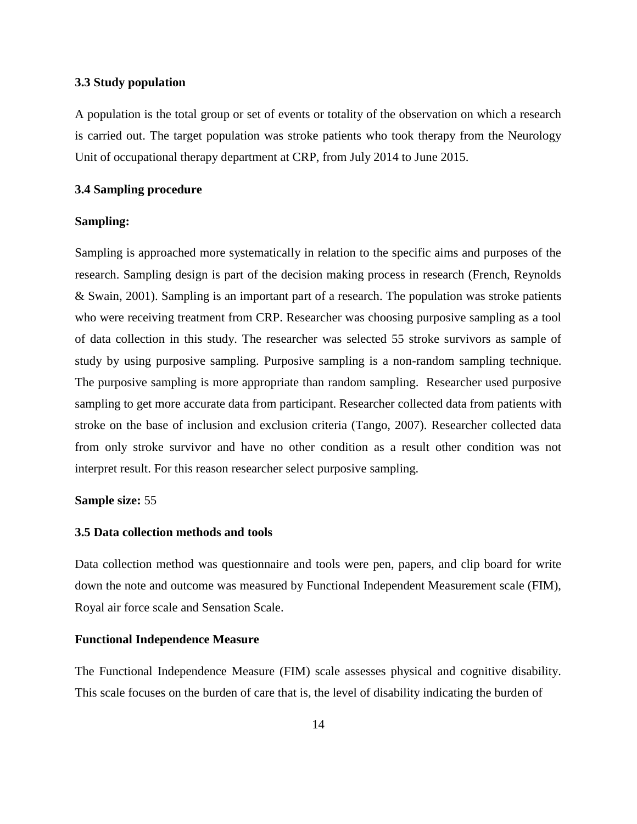#### **3.3 Study population**

A population is the total group or set of events or totality of the observation on which a research is carried out. The target population was stroke patients who took therapy from the Neurology Unit of occupational therapy department at CRP, from July 2014 to June 2015.

#### **3.4 Sampling procedure**

#### **Sampling:**

Sampling is approached more systematically in relation to the specific aims and purposes of the research. Sampling design is part of the decision making process in research (French, Reynolds & Swain, 2001). Sampling is an important part of a research. The population was stroke patients who were receiving treatment from CRP. Researcher was choosing purposive sampling as a tool of data collection in this study. The researcher was selected 55 stroke survivors as sample of study by using purposive sampling. Purposive sampling is a non-random sampling technique. The purposive sampling is more appropriate than random sampling. Researcher used purposive sampling to get more accurate data from participant. Researcher collected data from patients with stroke on the base of inclusion and exclusion criteria (Tango, 2007). Researcher collected data from only stroke survivor and have no other condition as a result other condition was not interpret result. For this reason researcher select purposive sampling.

#### **Sample size:** 55

#### **3.5 Data collection methods and tools**

Data collection method was questionnaire and tools were pen, papers, and clip board for write down the note and outcome was measured by Functional Independent Measurement scale (FIM), Royal air force scale and Sensation Scale.

#### **Functional Independence Measure**

The Functional Independence Measure (FIM) scale assesses physical and cognitive disability. This scale focuses on the burden of care that is, the level of disability indicating the burden of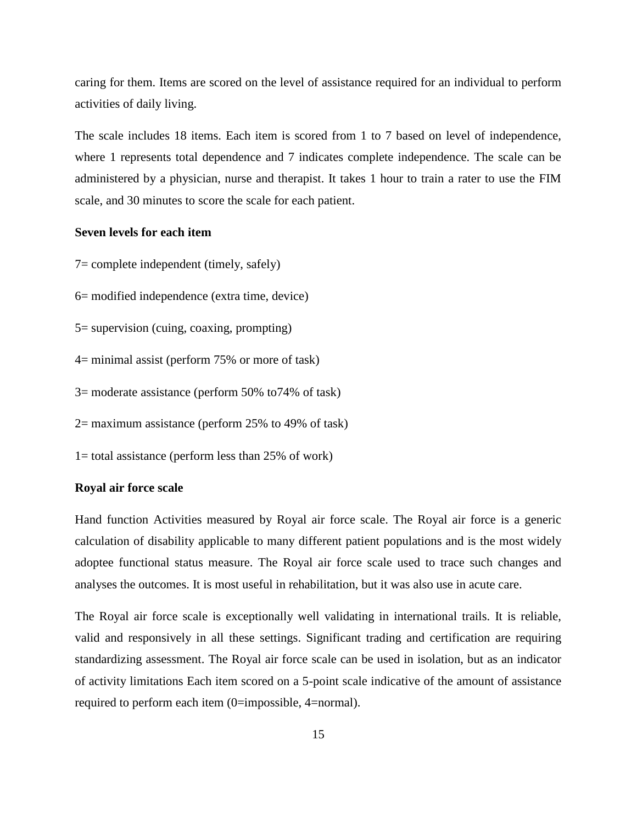caring for them. Items are scored on the level of assistance required for an individual to perform activities of daily living.

The scale includes 18 items. Each item is scored from 1 to 7 based on level of independence, where 1 represents total dependence and 7 indicates complete independence. The scale can be administered by a physician, nurse and therapist. It takes 1 hour to train a rater to use the FIM scale, and 30 minutes to score the scale for each patient.

#### **Seven levels for each item**

7= complete independent (timely, safely)

- 6= modified independence (extra time, device)
- 5= supervision (cuing, coaxing, prompting)
- 4= minimal assist (perform 75% or more of task)
- 3= moderate assistance (perform 50% to74% of task)
- 2= maximum assistance (perform 25% to 49% of task)
- 1= total assistance (perform less than 25% of work)

#### **Royal air force scale**

Hand function Activities measured by Royal air force scale. The Royal air force is a generic calculation of disability applicable to many different patient populations and is the most widely adoptee functional status measure. The Royal air force scale used to trace such changes and analyses the outcomes. It is most useful in rehabilitation, but it was also use in acute care.

The Royal air force scale is exceptionally well validating in international trails. It is reliable, valid and responsively in all these settings. Significant trading and certification are requiring standardizing assessment. The Royal air force scale can be used in isolation, but as an indicator of activity limitations Each item scored on a 5-point scale indicative of the amount of assistance required to perform each item (0=impossible, 4=normal).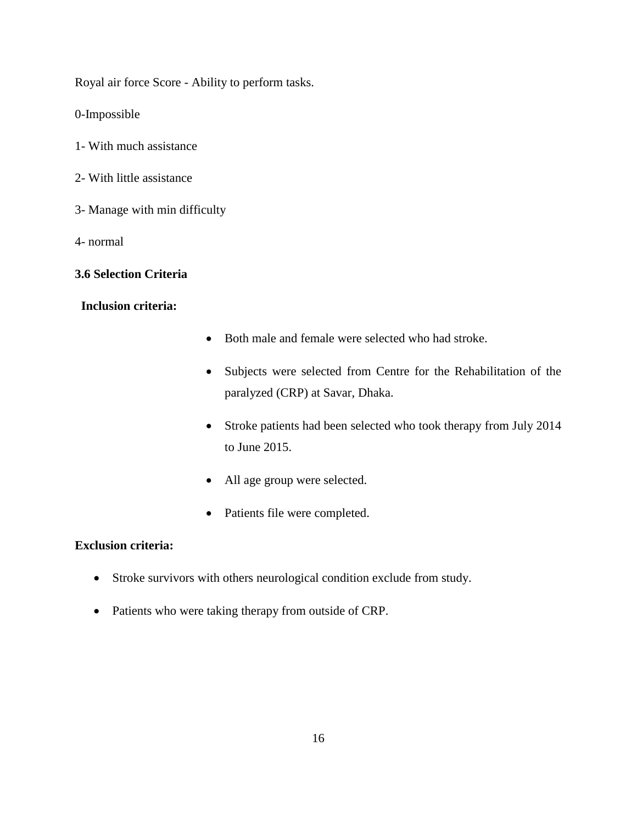Royal air force Score - Ability to perform tasks.

0-Impossible

- 1- With much assistance
- 2- With little assistance
- 3- Manage with min difficulty
- 4- normal

#### **3.6 Selection Criteria**

### **Inclusion criteria:**

- Both male and female were selected who had stroke.
- Subjects were selected from Centre for the Rehabilitation of the paralyzed (CRP) at Savar, Dhaka.
- Stroke patients had been selected who took therapy from July 2014 to June 2015.
- All age group were selected.
- Patients file were completed.

### **Exclusion criteria:**

- Stroke survivors with others neurological condition exclude from study.
- Patients who were taking therapy from outside of CRP.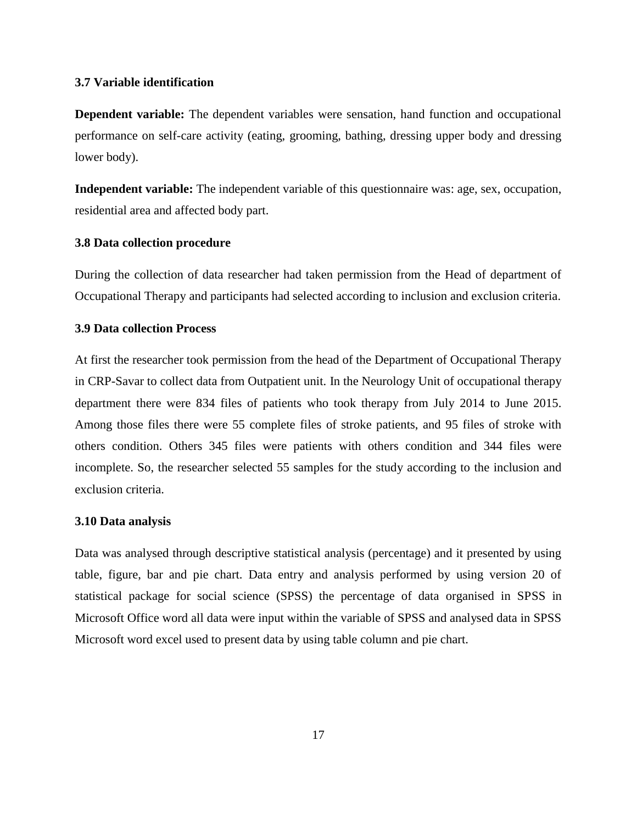#### **3.7 Variable identification**

**Dependent variable:** The dependent variables were sensation, hand function and occupational performance on self-care activity (eating, grooming, bathing, dressing upper body and dressing lower body).

**Independent variable:** The independent variable of this questionnaire was: age, sex, occupation, residential area and affected body part.

#### **3.8 Data collection procedure**

During the collection of data researcher had taken permission from the Head of department of Occupational Therapy and participants had selected according to inclusion and exclusion criteria.

#### **3.9 Data collection Process**

At first the researcher took permission from the head of the Department of Occupational Therapy in CRP-Savar to collect data from Outpatient unit. In the Neurology Unit of occupational therapy department there were 834 files of patients who took therapy from July 2014 to June 2015. Among those files there were 55 complete files of stroke patients, and 95 files of stroke with others condition. Others 345 files were patients with others condition and 344 files were incomplete. So, the researcher selected 55 samples for the study according to the inclusion and exclusion criteria.

#### **3.10 Data analysis**

Data was analysed through descriptive statistical analysis (percentage) and it presented by using table, figure, bar and pie chart. Data entry and analysis performed by using version 20 of statistical package for social science (SPSS) the percentage of data organised in SPSS in Microsoft Office word all data were input within the variable of SPSS and analysed data in SPSS Microsoft word excel used to present data by using table column and pie chart.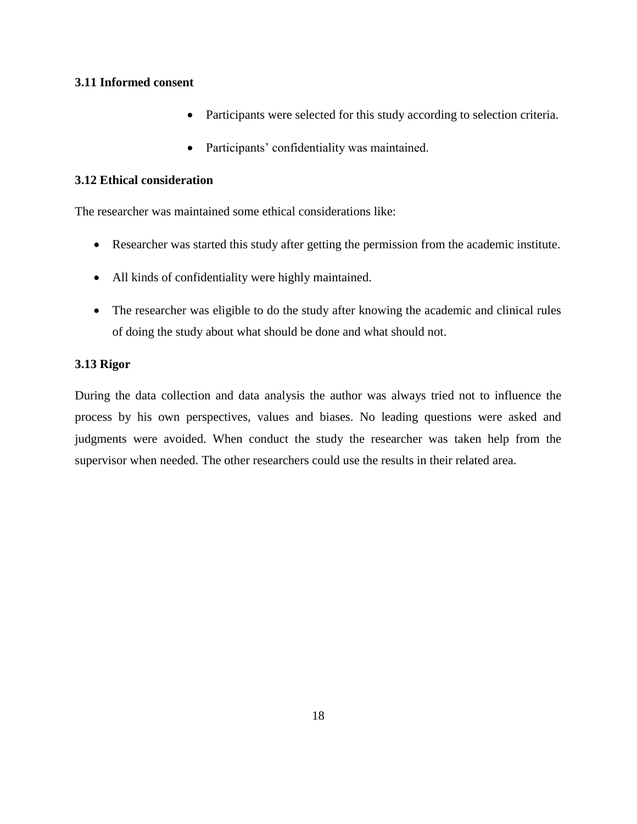### **3.11 Informed consent**

- Participants were selected for this study according to selection criteria.
- Participants' confidentiality was maintained.

### **3.12 Ethical consideration**

The researcher was maintained some ethical considerations like:

- Researcher was started this study after getting the permission from the academic institute.
- All kinds of confidentiality were highly maintained.
- The researcher was eligible to do the study after knowing the academic and clinical rules of doing the study about what should be done and what should not.

### **3.13 Rigor**

During the data collection and data analysis the author was always tried not to influence the process by his own perspectives, values and biases. No leading questions were asked and judgments were avoided. When conduct the study the researcher was taken help from the supervisor when needed. The other researchers could use the results in their related area.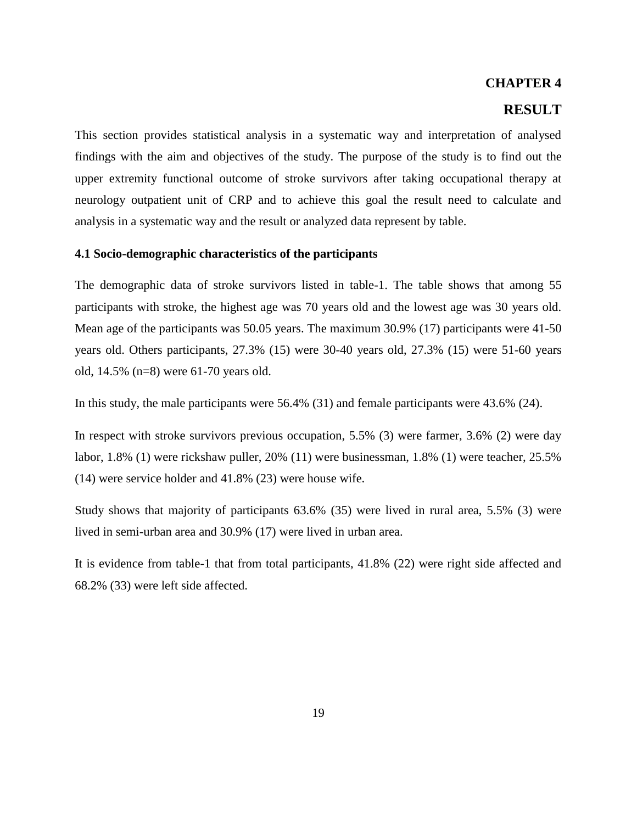### **CHAPTER 4**

## **RESULT**

This section provides statistical analysis in a systematic way and interpretation of analysed findings with the aim and objectives of the study. The purpose of the study is to find out the upper extremity functional outcome of stroke survivors after taking occupational therapy at neurology outpatient unit of CRP and to achieve this goal the result need to calculate and analysis in a systematic way and the result or analyzed data represent by table.

#### **4.1 Socio-demographic characteristics of the participants**

The demographic data of stroke survivors listed in table-1. The table shows that among 55 participants with stroke, the highest age was 70 years old and the lowest age was 30 years old. Mean age of the participants was 50.05 years. The maximum 30.9% (17) participants were 41-50 years old. Others participants, 27.3% (15) were 30-40 years old, 27.3% (15) were 51-60 years old, 14.5% (n=8) were 61-70 years old.

In this study, the male participants were 56.4% (31) and female participants were 43.6% (24).

In respect with stroke survivors previous occupation, 5.5% (3) were farmer, 3.6% (2) were day labor, 1.8% (1) were rickshaw puller, 20% (11) were businessman, 1.8% (1) were teacher, 25.5% (14) were service holder and 41.8% (23) were house wife.

Study shows that majority of participants 63.6% (35) were lived in rural area, 5.5% (3) were lived in semi-urban area and 30.9% (17) were lived in urban area.

It is evidence from table-1 that from total participants, 41.8% (22) were right side affected and 68.2% (33) were left side affected.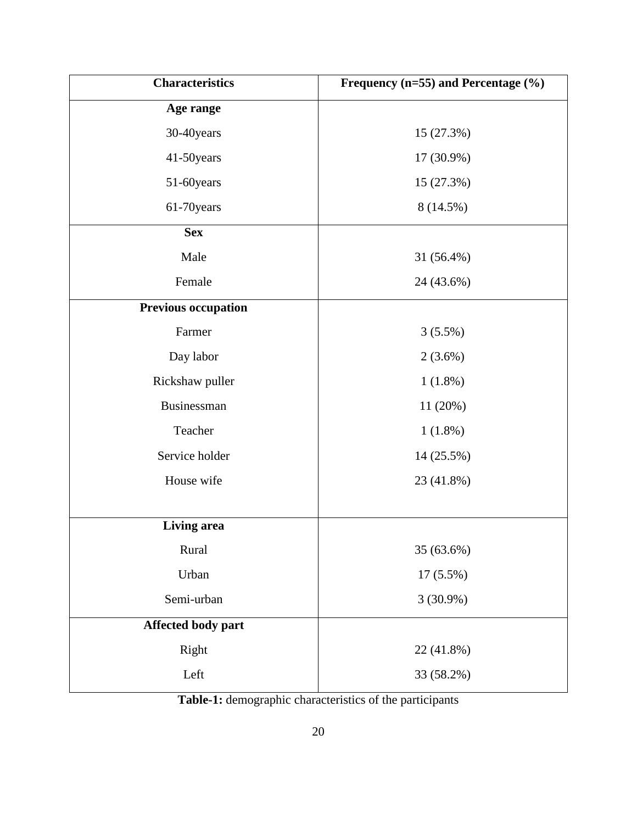| Frequency ( $n=55$ ) and Percentage (%)<br><b>Characteristics</b> |             |
|-------------------------------------------------------------------|-------------|
| Age range                                                         |             |
| 30-40years                                                        | 15 (27.3%)  |
| 41-50years                                                        | 17 (30.9%)  |
| 51-60years                                                        | 15 (27.3%)  |
| 61-70years                                                        | 8 (14.5%)   |
| <b>Sex</b>                                                        |             |
| Male                                                              | 31 (56.4%)  |
| Female                                                            | 24 (43.6%)  |
| <b>Previous occupation</b>                                        |             |
| Farmer                                                            | $3(5.5\%)$  |
| Day labor                                                         | $2(3.6\%)$  |
| Rickshaw puller                                                   | $1(1.8\%)$  |
| Businessman                                                       | 11 (20%)    |
| Teacher                                                           | $1(1.8\%)$  |
| Service holder                                                    | 14 (25.5%)  |
| House wife                                                        | 23 (41.8%)  |
|                                                                   |             |
| Living area                                                       |             |
| Rural                                                             | 35 (63.6%)  |
| Urban                                                             | 17 (5.5%)   |
| Semi-urban                                                        | $3(30.9\%)$ |
| Affected body part                                                |             |
| Right                                                             | 22 (41.8%)  |
| Left                                                              | 33 (58.2%)  |

**Table-1:** demographic characteristics of the participants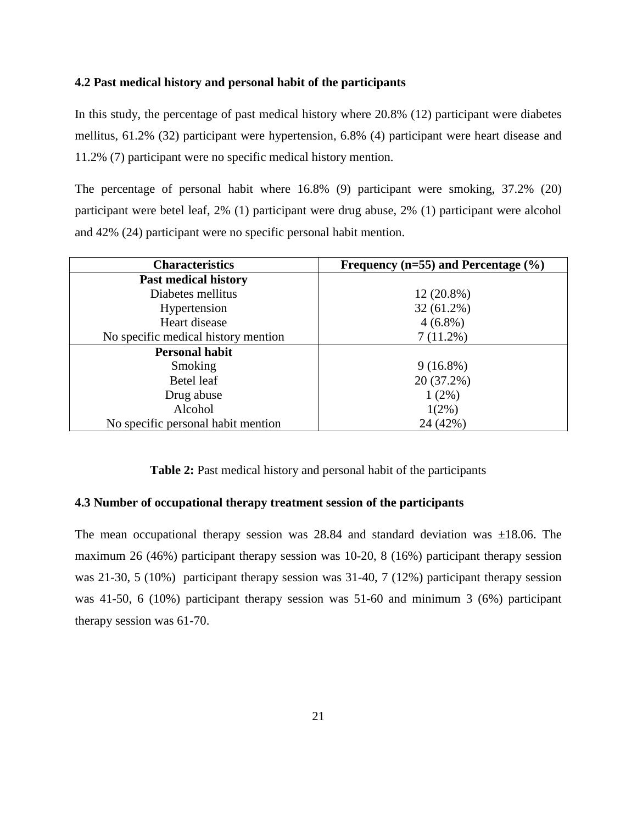#### **4.2 Past medical history and personal habit of the participants**

In this study, the percentage of past medical history where 20.8% (12) participant were diabetes mellitus, 61.2% (32) participant were hypertension, 6.8% (4) participant were heart disease and 11.2% (7) participant were no specific medical history mention.

The percentage of personal habit where 16.8% (9) participant were smoking, 37.2% (20) participant were betel leaf, 2% (1) participant were drug abuse, 2% (1) participant were alcohol and 42% (24) participant were no specific personal habit mention.

| <b>Characteristics</b>              | Frequency ( $n=55$ ) and Percentage (%) |
|-------------------------------------|-----------------------------------------|
| <b>Past medical history</b>         |                                         |
| Diabetes mellitus                   | $12(20.8\%)$                            |
| Hypertension                        | $32(61.2\%)$                            |
| Heart disease                       | $4(6.8\%)$                              |
| No specific medical history mention | $7(11.2\%)$                             |
| <b>Personal habit</b>               |                                         |
| Smoking                             | $9(16.8\%)$                             |
| Betel leaf                          | 20 (37.2%)                              |
| Drug abuse                          | 1(2%)                                   |
| Alcohol                             | $1(2\%)$                                |
| No specific personal habit mention  | 24 (42%)                                |

**Table 2:** Past medical history and personal habit of the participants

### **4.3 Number of occupational therapy treatment session of the participants**

The mean occupational therapy session was  $28.84$  and standard deviation was  $\pm 18.06$ . The maximum 26 (46%) participant therapy session was 10-20, 8 (16%) participant therapy session was 21-30, 5 (10%) participant therapy session was 31-40, 7 (12%) participant therapy session was 41-50, 6 (10%) participant therapy session was 51-60 and minimum 3 (6%) participant therapy session was 61-70.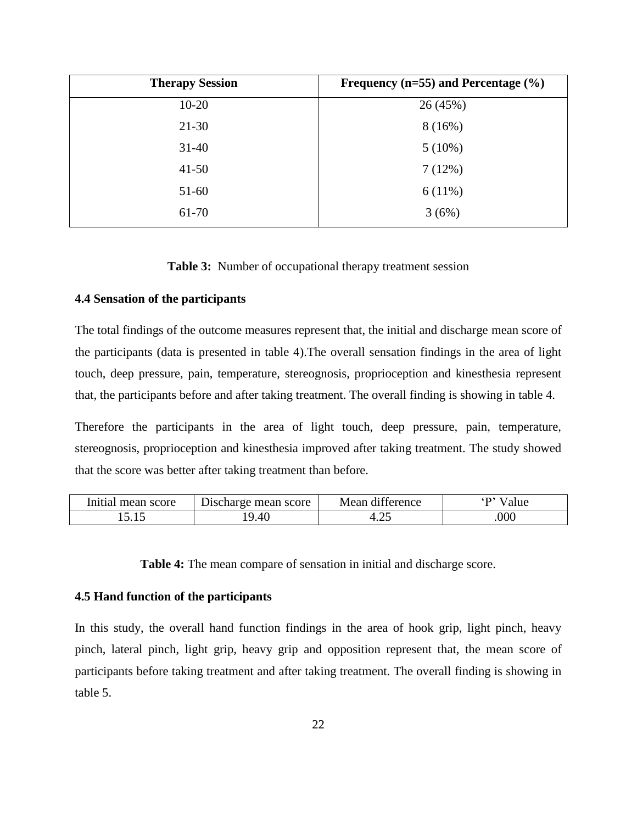| <b>Therapy Session</b> | Frequency ( $n=55$ ) and Percentage (%) |
|------------------------|-----------------------------------------|
| $10-20$                | 26 (45%)                                |
| $21-30$                | 8(16%)                                  |
| $31 - 40$              | $5(10\%)$                               |
| $41 - 50$              | 7(12%)                                  |
| $51-60$                | 6(11%)                                  |
| 61-70                  | 3(6%)                                   |

**Table 3:** Number of occupational therapy treatment session

### **4.4 Sensation of the participants**

The total findings of the outcome measures represent that, the initial and discharge mean score of the participants (data is presented in table 4).The overall sensation findings in the area of light touch, deep pressure, pain, temperature, stereognosis, proprioception and kinesthesia represent that, the participants before and after taking treatment. The overall finding is showing in table 4.

Therefore the participants in the area of light touch, deep pressure, pain, temperature, stereognosis, proprioception and kinesthesia improved after taking treatment. The study showed that the score was better after taking treatment than before.

| Initial mean score | Discharge mean score | $\cdots$<br>Mean<br>difference | alue |
|--------------------|----------------------|--------------------------------|------|
| しいしん               | 9.40                 | . r<br>᠇.∠、                    | 000  |

**Table 4:** The mean compare of sensation in initial and discharge score.

#### **4.5 Hand function of the participants**

In this study, the overall hand function findings in the area of hook grip, light pinch, heavy pinch, lateral pinch, light grip, heavy grip and opposition represent that, the mean score of participants before taking treatment and after taking treatment. The overall finding is showing in table 5.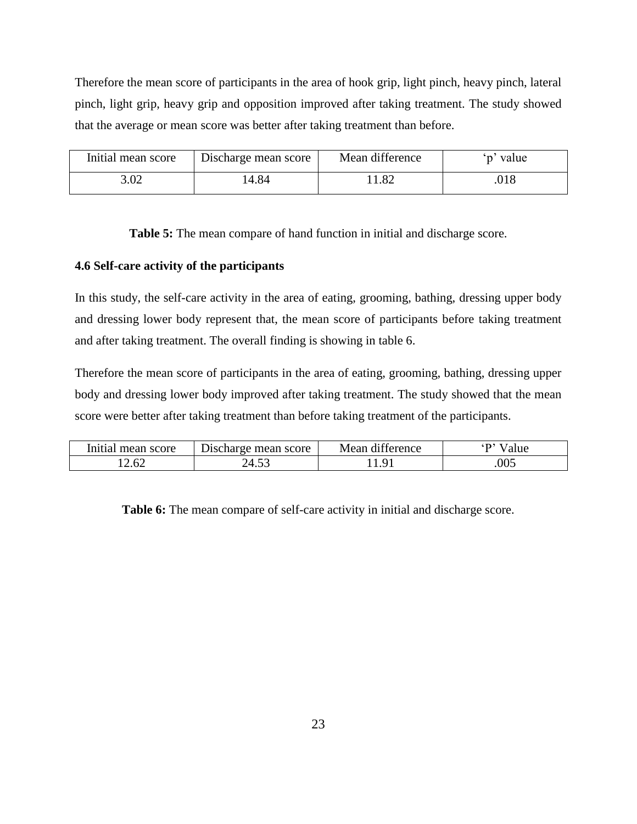Therefore the mean score of participants in the area of hook grip, light pinch, heavy pinch, lateral pinch, light grip, heavy grip and opposition improved after taking treatment. The study showed that the average or mean score was better after taking treatment than before.

| Initial mean score | Discharge mean score | Mean difference | value |
|--------------------|----------------------|-----------------|-------|
| 3.02               | 14.84                | 1.82            | .018  |

**Table 5:** The mean compare of hand function in initial and discharge score.

### **4.6 Self-care activity of the participants**

In this study, the self-care activity in the area of eating, grooming, bathing, dressing upper body and dressing lower body represent that, the mean score of participants before taking treatment and after taking treatment. The overall finding is showing in table 6.

Therefore the mean score of participants in the area of eating, grooming, bathing, dressing upper body and dressing lower body improved after taking treatment. The study showed that the mean score were better after taking treatment than before taking treatment of the participants.

| Initial mean score | Discharge mean score        | $\cdots$<br>Mean<br>difference | alue |
|--------------------|-----------------------------|--------------------------------|------|
| 4.UZ               | $  -$<br>$\mathcal{M}$<br>2 |                                | .005 |

**Table 6:** The mean compare of self-care activity in initial and discharge score.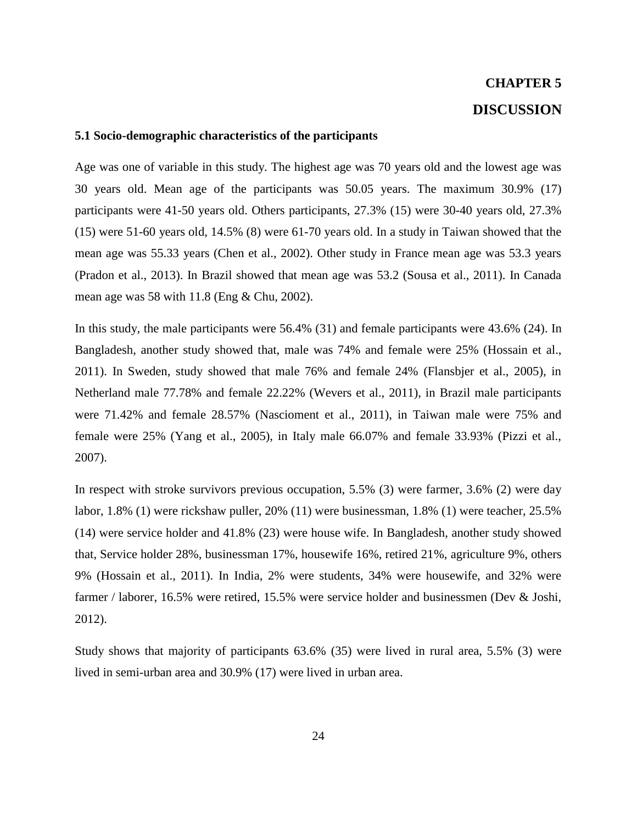# **CHAPTER 5 DISCUSSION**

#### **5.1 Socio-demographic characteristics of the participants**

Age was one of variable in this study. The highest age was 70 years old and the lowest age was 30 years old. Mean age of the participants was 50.05 years. The maximum 30.9% (17) participants were 41-50 years old. Others participants, 27.3% (15) were 30-40 years old, 27.3% (15) were 51-60 years old, 14.5% (8) were 61-70 years old. In a study in Taiwan showed that the mean age was 55.33 years (Chen et al., 2002). Other study in France mean age was 53.3 years (Pradon et al., 2013). In Brazil showed that mean age was 53.2 (Sousa et al., 2011). In Canada mean age was 58 with 11.8 (Eng & Chu, 2002).

In this study, the male participants were 56.4% (31) and female participants were 43.6% (24). In Bangladesh, another study showed that, male was 74% and female were 25% (Hossain et al., 2011). In Sweden, study showed that male 76% and female 24% (Flansbjer et al., 2005), in Netherland male 77.78% and female 22.22% (Wevers et al., 2011), in Brazil male participants were 71.42% and female 28.57% (Nascioment et al., 2011), in Taiwan male were 75% and female were 25% (Yang et al., 2005), in Italy male 66.07% and female 33.93% (Pizzi et al., 2007).

In respect with stroke survivors previous occupation, 5.5% (3) were farmer, 3.6% (2) were day labor, 1.8% (1) were rickshaw puller, 20% (11) were businessman, 1.8% (1) were teacher, 25.5% (14) were service holder and 41.8% (23) were house wife. In Bangladesh, another study showed that, Service holder 28%, businessman 17%, housewife 16%, retired 21%, agriculture 9%, others 9% (Hossain et al., 2011). In India, 2% were students, 34% were housewife, and 32% were farmer / laborer, 16.5% were retired, 15.5% were service holder and businessmen (Dev & Joshi, 2012).

Study shows that majority of participants 63.6% (35) were lived in rural area, 5.5% (3) were lived in semi-urban area and 30.9% (17) were lived in urban area.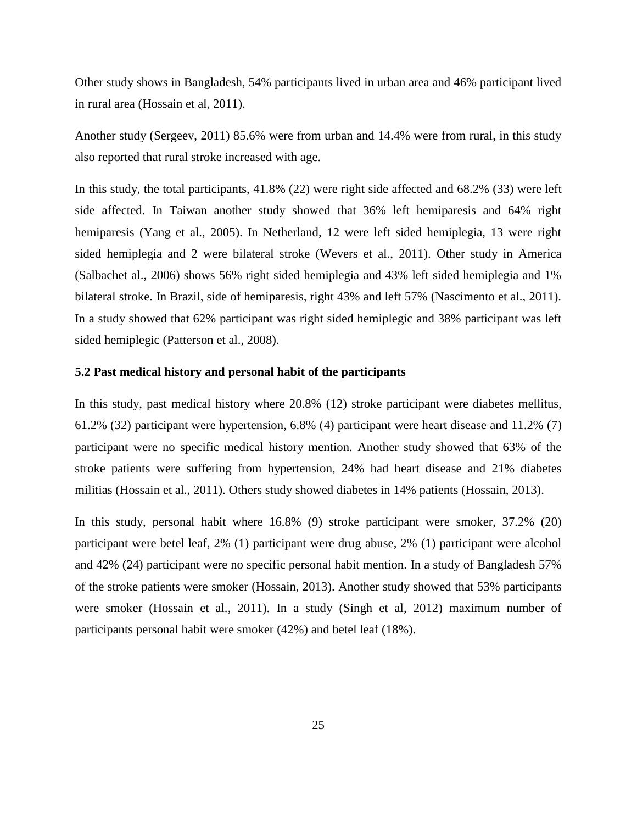Other study shows in Bangladesh, 54% participants lived in urban area and 46% participant lived in rural area (Hossain et al, 2011).

Another study (Sergeev, 2011) 85.6% were from urban and 14.4% were from rural, in this study also reported that rural stroke increased with age.

In this study, the total participants, 41.8% (22) were right side affected and 68.2% (33) were left side affected. In Taiwan another study showed that 36% left hemiparesis and 64% right hemiparesis (Yang et al., 2005). In Netherland, 12 were left sided hemiplegia, 13 were right sided hemiplegia and 2 were bilateral stroke (Wevers et al., 2011). Other study in America (Salbachet al., 2006) shows 56% right sided hemiplegia and 43% left sided hemiplegia and 1% bilateral stroke. In Brazil, side of hemiparesis, right 43% and left 57% (Nascimento et al., 2011). In a study showed that 62% participant was right sided hemiplegic and 38% participant was left sided hemiplegic (Patterson et al., 2008).

#### **5.2 Past medical history and personal habit of the participants**

In this study, past medical history where 20.8% (12) stroke participant were diabetes mellitus, 61.2% (32) participant were hypertension, 6.8% (4) participant were heart disease and 11.2% (7) participant were no specific medical history mention. Another study showed that 63% of the stroke patients were suffering from hypertension, 24% had heart disease and 21% diabetes militias (Hossain et al., 2011). Others study showed diabetes in 14% patients (Hossain, 2013).

In this study, personal habit where 16.8% (9) stroke participant were smoker, 37.2% (20) participant were betel leaf, 2% (1) participant were drug abuse, 2% (1) participant were alcohol and 42% (24) participant were no specific personal habit mention. In a study of Bangladesh 57% of the stroke patients were smoker (Hossain, 2013). Another study showed that 53% participants were smoker (Hossain et al., 2011). In a study (Singh et al, 2012) maximum number of participants personal habit were smoker (42%) and betel leaf (18%).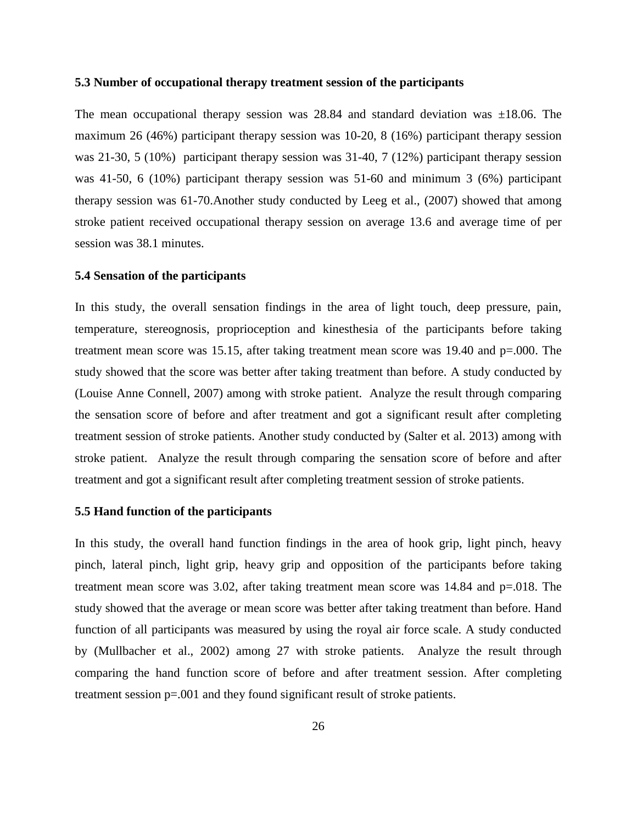#### **5.3 Number of occupational therapy treatment session of the participants**

The mean occupational therapy session was  $28.84$  and standard deviation was  $\pm 18.06$ . The maximum 26 (46%) participant therapy session was 10-20, 8 (16%) participant therapy session was 21-30, 5 (10%) participant therapy session was 31-40, 7 (12%) participant therapy session was 41-50, 6 (10%) participant therapy session was 51-60 and minimum 3 (6%) participant therapy session was 61-70.Another study conducted by Leeg et al., (2007) showed that among stroke patient received occupational therapy session on average 13.6 and average time of per session was 38.1 minutes.

#### **5.4 Sensation of the participants**

In this study, the overall sensation findings in the area of light touch, deep pressure, pain, temperature, stereognosis, proprioception and kinesthesia of the participants before taking treatment mean score was 15.15, after taking treatment mean score was 19.40 and p=.000. The study showed that the score was better after taking treatment than before. A study conducted by (Louise Anne Connell, 2007) among with stroke patient. Analyze the result through comparing the sensation score of before and after treatment and got a significant result after completing treatment session of stroke patients. Another study conducted by (Salter et al. 2013) among with stroke patient. Analyze the result through comparing the sensation score of before and after treatment and got a significant result after completing treatment session of stroke patients.

#### **5.5 Hand function of the participants**

In this study, the overall hand function findings in the area of hook grip, light pinch, heavy pinch, lateral pinch, light grip, heavy grip and opposition of the participants before taking treatment mean score was 3.02, after taking treatment mean score was 14.84 and p=.018. The study showed that the average or mean score was better after taking treatment than before. Hand function of all participants was measured by using the royal air force scale. A study conducted by (Mullbacher et al., 2002) among 27 with stroke patients. Analyze the result through comparing the hand function score of before and after treatment session. After completing treatment session p=.001 and they found significant result of stroke patients.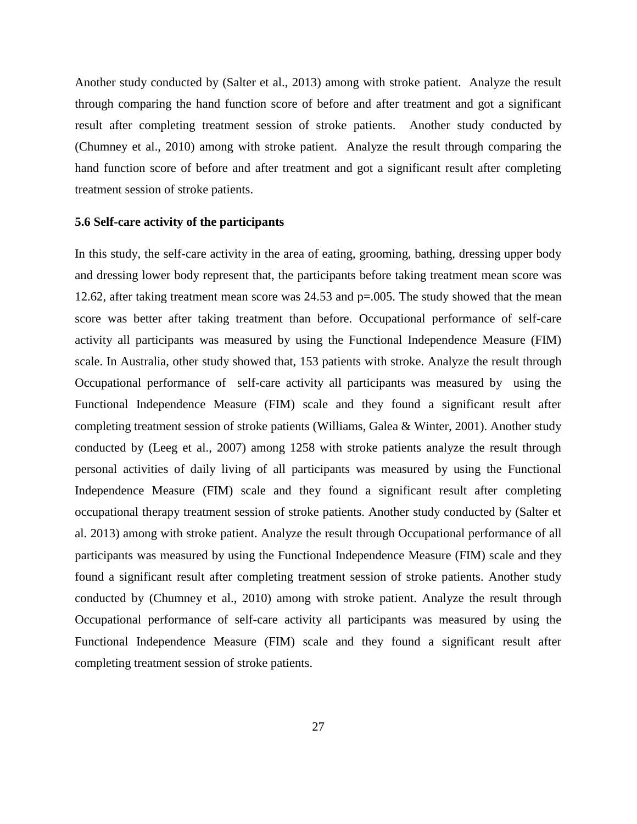Another study conducted by (Salter et al., 2013) among with stroke patient. Analyze the result through comparing the hand function score of before and after treatment and got a significant result after completing treatment session of stroke patients. Another study conducted by (Chumney et al., 2010) among with stroke patient. Analyze the result through comparing the hand function score of before and after treatment and got a significant result after completing treatment session of stroke patients.

#### **5.6 Self-care activity of the participants**

In this study, the self-care activity in the area of eating, grooming, bathing, dressing upper body and dressing lower body represent that, the participants before taking treatment mean score was 12.62, after taking treatment mean score was 24.53 and p=.005. The study showed that the mean score was better after taking treatment than before. Occupational performance of self-care activity all participants was measured by using the Functional Independence Measure (FIM) scale. In Australia, other study showed that, 153 patients with stroke. Analyze the result through Occupational performance of self-care activity all participants was measured by using the Functional Independence Measure (FIM) scale and they found a significant result after completing treatment session of stroke patients (Williams, Galea & Winter, 2001). Another study conducted by (Leeg et al., 2007) among 1258 with stroke patients analyze the result through personal activities of daily living of all participants was measured by using the Functional Independence Measure (FIM) scale and they found a significant result after completing occupational therapy treatment session of stroke patients. Another study conducted by (Salter et al. 2013) among with stroke patient. Analyze the result through Occupational performance of all participants was measured by using the Functional Independence Measure (FIM) scale and they found a significant result after completing treatment session of stroke patients. Another study conducted by (Chumney et al., 2010) among with stroke patient. Analyze the result through Occupational performance of self-care activity all participants was measured by using the Functional Independence Measure (FIM) scale and they found a significant result after completing treatment session of stroke patients.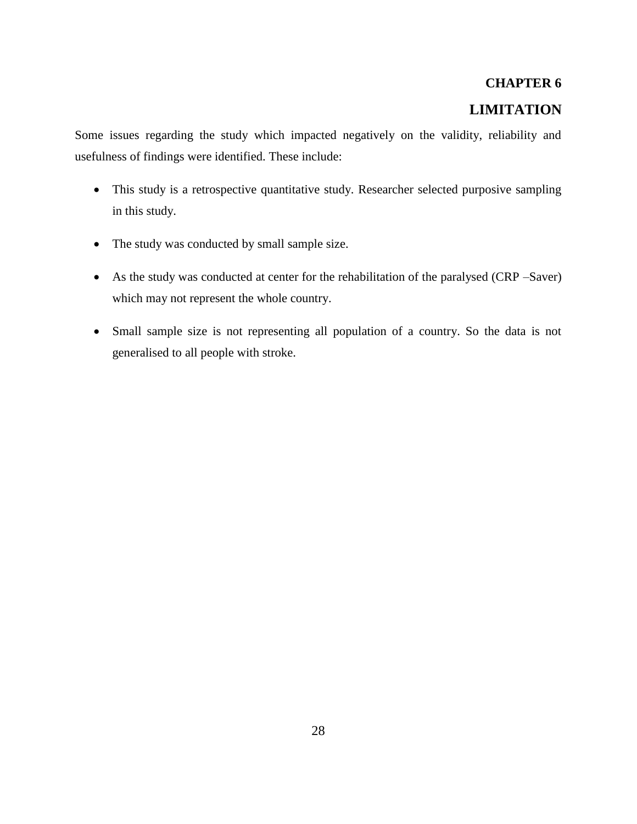# **CHAPTER 6 LIMITATION**

Some issues regarding the study which impacted negatively on the validity, reliability and usefulness of findings were identified. These include:

- This study is a retrospective quantitative study. Researcher selected purposive sampling in this study.
- The study was conducted by small sample size.
- As the study was conducted at center for the rehabilitation of the paralysed (CRP –Saver) which may not represent the whole country.
- Small sample size is not representing all population of a country. So the data is not generalised to all people with stroke.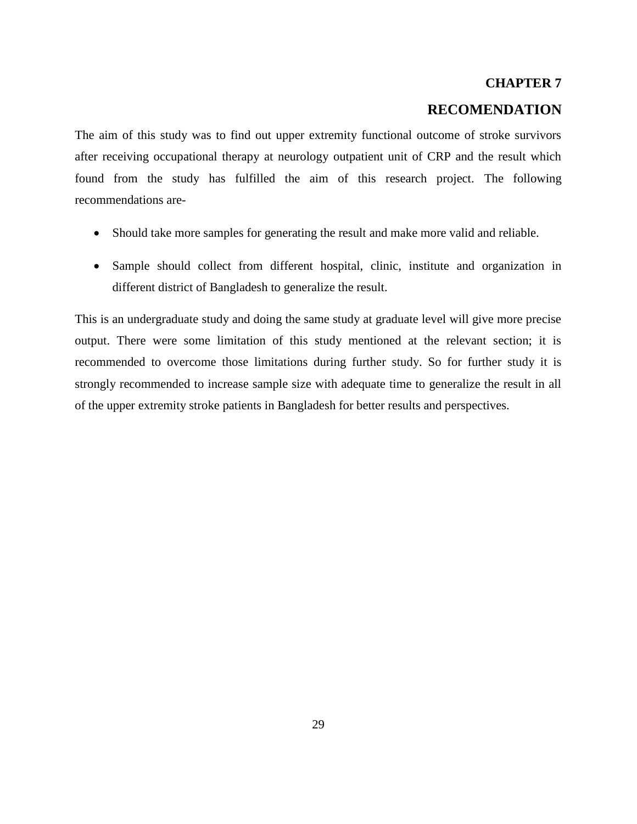#### **CHAPTER 7**

# **RECOMENDATION**

The aim of this study was to find out upper extremity functional outcome of stroke survivors after receiving occupational therapy at neurology outpatient unit of CRP and the result which found from the study has fulfilled the aim of this research project. The following recommendations are-

- Should take more samples for generating the result and make more valid and reliable.
- Sample should collect from different hospital, clinic, institute and organization in different district of Bangladesh to generalize the result.

This is an undergraduate study and doing the same study at graduate level will give more precise output. There were some limitation of this study mentioned at the relevant section; it is recommended to overcome those limitations during further study. So for further study it is strongly recommended to increase sample size with adequate time to generalize the result in all of the upper extremity stroke patients in Bangladesh for better results and perspectives.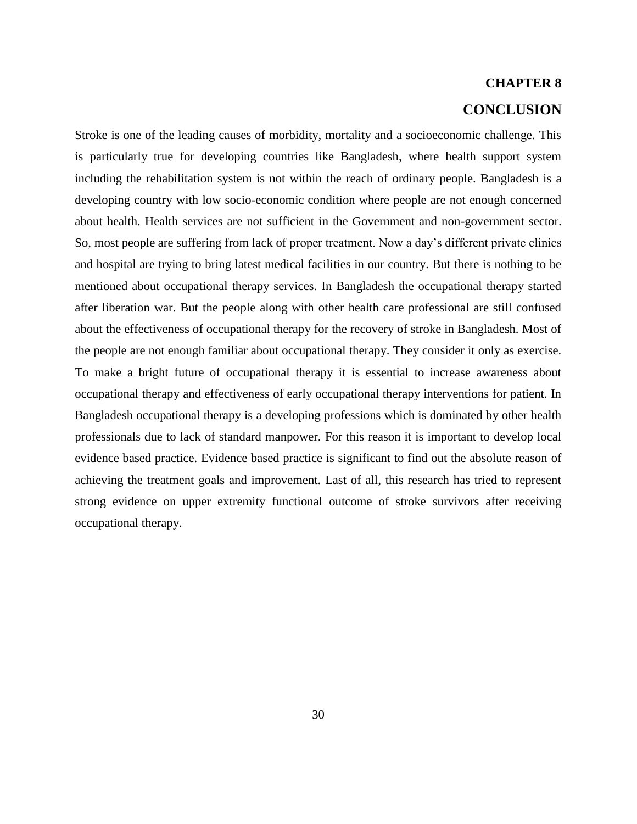# **CHAPTER 8 CONCLUSION**

Stroke is one of the leading causes of morbidity, mortality and a socioeconomic challenge. This is particularly true for developing countries like Bangladesh, where health support system including the rehabilitation system is not within the reach of ordinary people. Bangladesh is a developing country with low socio-economic condition where people are not enough concerned about health. Health services are not sufficient in the Government and non-government sector. So, most people are suffering from lack of proper treatment. Now a day's different private clinics and hospital are trying to bring latest medical facilities in our country. But there is nothing to be mentioned about occupational therapy services. In Bangladesh the occupational therapy started after liberation war. But the people along with other health care professional are still confused about the effectiveness of occupational therapy for the recovery of stroke in Bangladesh. Most of the people are not enough familiar about occupational therapy. They consider it only as exercise. To make a bright future of occupational therapy it is essential to increase awareness about occupational therapy and effectiveness of early occupational therapy interventions for patient. In Bangladesh occupational therapy is a developing professions which is dominated by other health professionals due to lack of standard manpower. For this reason it is important to develop local evidence based practice. Evidence based practice is significant to find out the absolute reason of achieving the treatment goals and improvement. Last of all, this research has tried to represent strong evidence on upper extremity functional outcome of stroke survivors after receiving occupational therapy.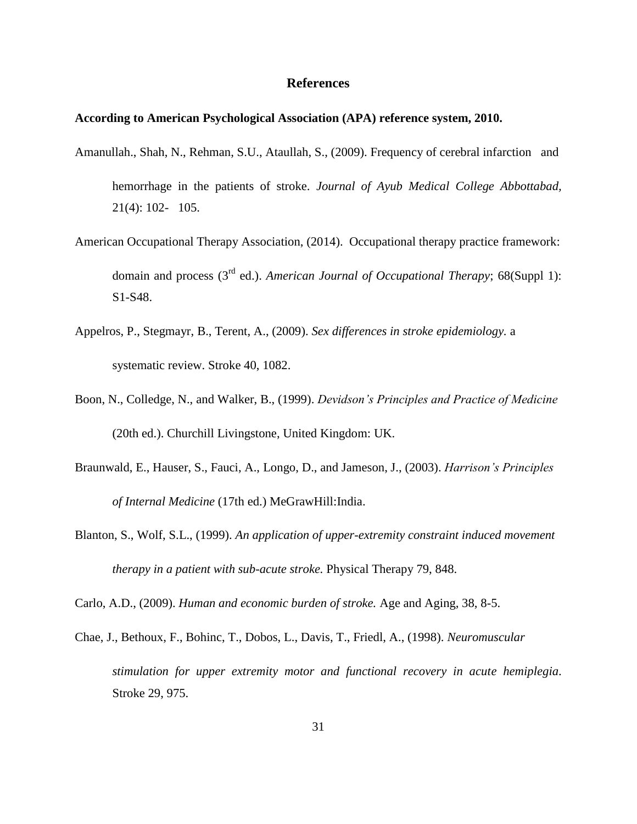### **References**

#### **According to American Psychological Association (APA) reference system, 2010.**

- Amanullah., Shah, N., Rehman, S.U., Ataullah, S., (2009). Frequency of cerebral infarction and hemorrhage in the patients of stroke. *Journal of Ayub Medical College Abbottabad,*  21(4): 102- 105.
- American Occupational Therapy Association, (2014). Occupational therapy practice framework: domain and process (3rd ed.). *American Journal of Occupational Therapy*; 68(Suppl 1): S1-S48.
- Appelros, P., Stegmayr, B., Terent, A., (2009). *Sex differences in stroke epidemiology.* a systematic review. Stroke 40, 1082.
- Boon, N., Colledge, N., and Walker, B., (1999). *Devidson's Principles and Practice of Medicine*  (20th ed.). Churchill Livingstone, United Kingdom: UK.
- Braunwald, E., Hauser, S., Fauci, A., Longo, D., and Jameson, J., (2003). *Harrison's Principles of Internal Medicine* (17th ed.) MeGrawHill:India.
- Blanton, S., Wolf, S.L., (1999). *An application of upper-extremity constraint induced movement therapy in a patient with sub-acute stroke.* Physical Therapy 79, 848.

Carlo, A.D., (2009). *Human and economic burden of stroke.* Age and Aging, 38, 8-5.

Chae, J., Bethoux, F., Bohinc, T., Dobos, L., Davis, T., Friedl, A., (1998). *Neuromuscular stimulation for upper extremity motor and functional recovery in acute hemiplegia*. Stroke 29, 975.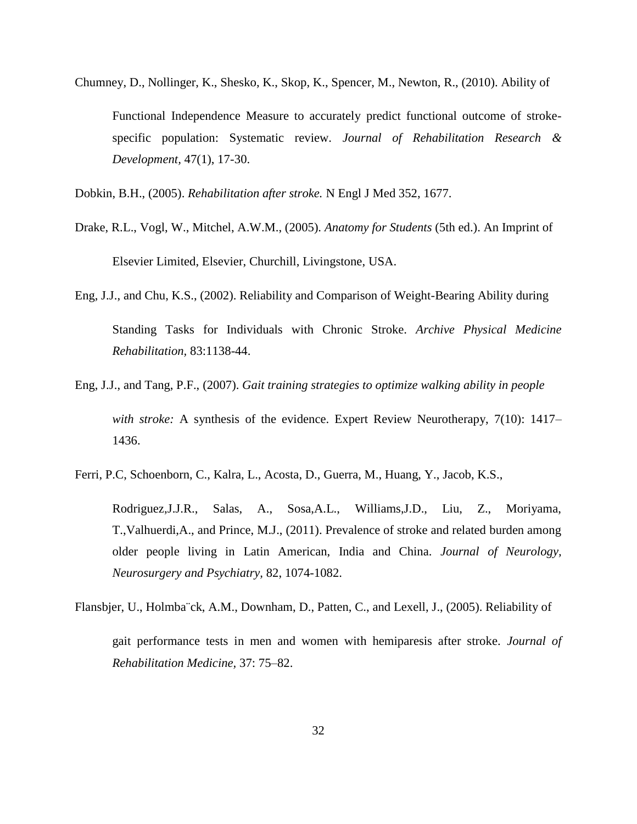Chumney, D., Nollinger, K., Shesko, K., Skop, K., Spencer, M., Newton, R., (2010). Ability of Functional Independence Measure to accurately predict functional outcome of strokespecific population: Systematic review. *Journal of Rehabilitation Research & Development,* 47(1), 17-30.

Dobkin, B.H., (2005). *Rehabilitation after stroke.* N Engl J Med 352, 1677.

- Drake, R.L., Vogl, W., Mitchel, A.W.M., (2005). *Anatomy for Students* (5th ed.). An Imprint of Elsevier Limited, Elsevier, Churchill, Livingstone, USA.
- Eng, J.J., and Chu, K.S., (2002). Reliability and Comparison of Weight-Bearing Ability during Standing Tasks for Individuals with Chronic Stroke. *Archive Physical Medicine Rehabilitation,* 83:1138-44.
- Eng, J.J., and Tang, P.F., (2007). *Gait training strategies to optimize walking ability in people with stroke:* A synthesis of the evidence. Expert Review Neurotherapy, 7(10): 1417– 1436.
- Ferri, P.C, Schoenborn, C., Kalra, L., Acosta, D., Guerra, M., Huang, Y., Jacob, K.S.,

Rodriguez,J.J.R., Salas, A., Sosa,A.L., Williams,J.D., Liu, Z., Moriyama, T.,Valhuerdi,A., and Prince, M.J., (2011). Prevalence of stroke and related burden among older people living in Latin American, India and China. *Journal of Neurology, Neurosurgery and Psychiatry,* 82, 1074-1082.

Flansbjer, U., Holmba¨ck, A.M., Downham, D., Patten, C., and Lexell, J., (2005). Reliability of

gait performance tests in men and women with hemiparesis after stroke. *Journal of Rehabilitation Medicine,* 37: 75–82.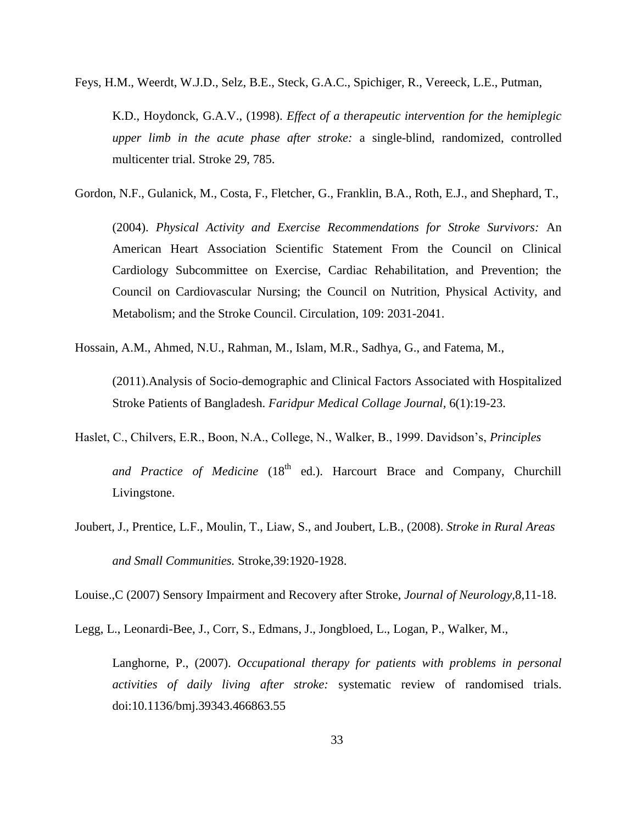Feys, H.M., Weerdt, W.J.D., Selz, B.E., Steck, G.A.C., Spichiger, R., Vereeck, L.E., Putman,

K.D., Hoydonck, G.A.V., (1998). *Effect of a therapeutic intervention for the hemiplegic upper limb in the acute phase after stroke:* a single-blind, randomized, controlled multicenter trial. Stroke 29, 785.

Gordon, N.F., Gulanick, M., Costa, F., Fletcher, G., Franklin, B.A., Roth, E.J., and Shephard, T.,

(2004). *Physical Activity and Exercise Recommendations for Stroke Survivors:* An American Heart Association Scientific Statement From the Council on Clinical Cardiology Subcommittee on Exercise, Cardiac Rehabilitation, and Prevention; the Council on Cardiovascular Nursing; the Council on Nutrition, Physical Activity, and Metabolism; and the Stroke Council. Circulation, 109: 2031-2041.

Hossain, A.M., Ahmed, N.U., Rahman, M., Islam, M.R., Sadhya, G., and Fatema, M.,

(2011).Analysis of Socio-demographic and Clinical Factors Associated with Hospitalized Stroke Patients of Bangladesh. *Faridpur Medical Collage Journal,* 6(1):19-23.

- Haslet, C., Chilvers, E.R., Boon, N.A., College, N., Walker, B., 1999. Davidson's, *Principles*  and Practice of Medicine (18<sup>th</sup> ed.). Harcourt Brace and Company, Churchill Livingstone.
- Joubert, J., Prentice, L.F., Moulin, T., Liaw, S., and Joubert, L.B., (2008). *Stroke in Rural Areas and Small Communities.* Stroke,39:1920-1928.

Louise.,C (2007) Sensory Impairment and Recovery after Stroke, *Journal of Neurology,*8,11-18.

Legg, L., Leonardi-Bee, J., Corr, S., Edmans, J., Jongbloed, L., Logan, P., Walker, M.,

Langhorne, P., (2007). *Occupational therapy for patients with problems in personal activities of daily living after stroke:* systematic review of randomised trials. doi:10.1136/bmj.39343.466863.55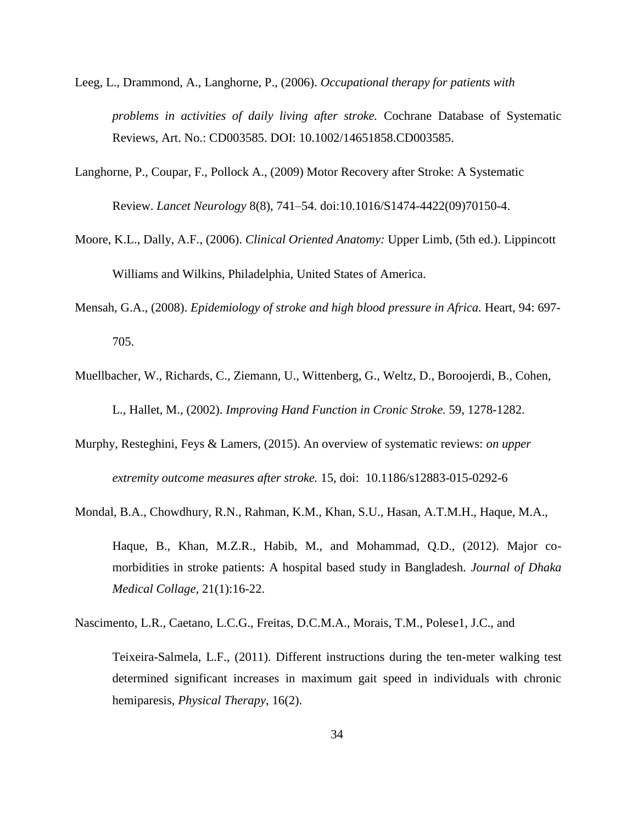- Leeg, L., Drammond, A., Langhorne, P., (2006). *Occupational therapy for patients with problems in activities of daily living after stroke.* Cochrane Database of Systematic Reviews, Art. No.: CD003585. DOI: 10.1002/14651858.CD003585.
- Langhorne, P., Coupar, F., Pollock A., (2009) Motor Recovery after Stroke: A Systematic Review. *Lancet Neurology* 8(8), 741–54. doi:10.1016/S1474-4422(09)70150-4.
- Moore, K.L., Dally, A.F., (2006). *Clinical Oriented Anatomy:* Upper Limb, (5th ed.). Lippincott Williams and Wilkins, Philadelphia, United States of America.
- Mensah, G.A., (2008). *Epidemiology of stroke and high blood pressure in Africa.* Heart, 94: 697- 705.
- Muellbacher, W., Richards, C., Ziemann, U., Wittenberg, G., Weltz, D., Boroojerdi, B., Cohen, L., Hallet, M., (2002). *Improving Hand Function in Cronic Stroke.* 59, 1278-1282.
- Murphy, Resteghini, Feys & Lamers, (2015). An overview of systematic reviews: *on upper extremity outcome measures after stroke.* 15, doi: 10.1186/s12883-015-0292-6
- Mondal, B.A., Chowdhury, R.N., Rahman, K.M., Khan, S.U., Hasan, A.T.M.H., Haque, M.A.,
	- Haque, B., Khan, M.Z.R., Habib, M., and Mohammad, Q.D., (2012). Major comorbidities in stroke patients: A hospital based study in Bangladesh. *Journal of Dhaka Medical Collage,* 21(1):16-22.

Nascimento, L.R., Caetano, L.C.G., Freitas, D.C.M.A., Morais, T.M., Polese1, J.C., and

Teixeira-Salmela, L.F., (2011). Different instructions during the ten-meter walking test determined significant increases in maximum gait speed in individuals with chronic hemiparesis, *Physical Therapy*, 16(2).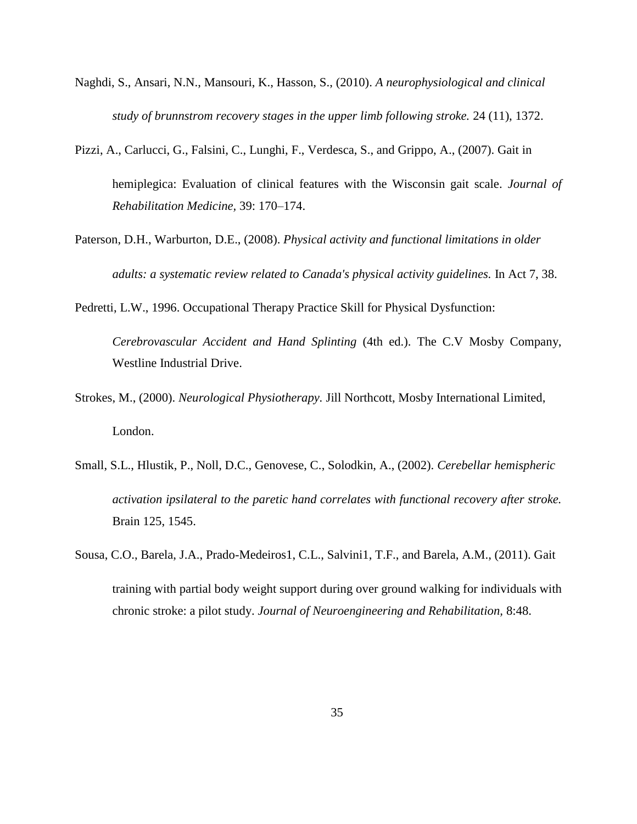- Naghdi, S., Ansari, N.N., Mansouri, K., Hasson, S., (2010). *A neurophysiological and clinical study of brunnstrom recovery stages in the upper limb following stroke.* 24 (11), 1372.
- Pizzi, A., Carlucci, G., Falsini, C., Lunghi, F., Verdesca, S., and Grippo, A., (2007). Gait in hemiplegica: Evaluation of clinical features with the Wisconsin gait scale. *Journal of Rehabilitation Medicine,* 39: 170–174.
- Paterson, D.H., Warburton, D.E., (2008). *Physical activity and functional limitations in older adults: a systematic review related to Canada's physical activity guidelines.* In Act 7, 38.
- Pedretti, L.W., 1996. Occupational Therapy Practice Skill for Physical Dysfunction:

*Cerebrovascular Accident and Hand Splinting* (4th ed.). The C.V Mosby Company, Westline Industrial Drive.

- Strokes, M., (2000). *Neurological Physiotherapy.* Jill Northcott, Mosby International Limited, London.
- Small, S.L., Hlustik, P., Noll, D.C., Genovese, C., Solodkin, A., (2002). *Cerebellar hemispheric activation ipsilateral to the paretic hand correlates with functional recovery after stroke.* Brain 125, 1545.
- Sousa, C.O., Barela, J.A., Prado-Medeiros1, C.L., Salvini1, T.F., and Barela, A.M., (2011). Gait training with partial body weight support during over ground walking for individuals with chronic stroke: a pilot study. *Journal of Neuroengineering and Rehabilitation,* 8:48.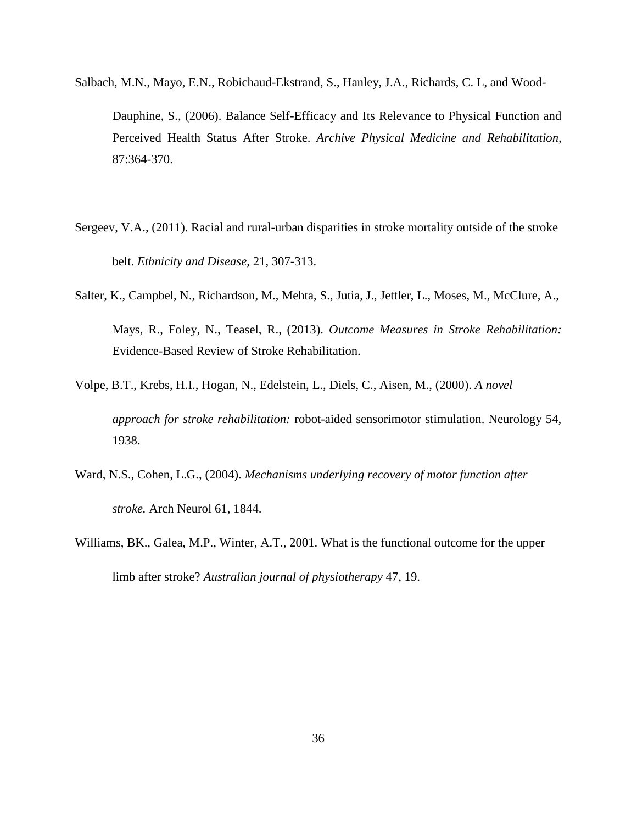Salbach, M.N., Mayo, E.N., Robichaud-Ekstrand, S., Hanley, J.A., Richards, C. L, and Wood-

Dauphine, S., (2006). Balance Self-Efficacy and Its Relevance to Physical Function and Perceived Health Status After Stroke. *Archive Physical Medicine and Rehabilitation,*  87:364-370.

- Sergeev, V.A., (2011). Racial and rural-urban disparities in stroke mortality outside of the stroke belt. *Ethnicity and Disease,* 21, 307-313.
- Salter, K., Campbel, N., Richardson, M., Mehta, S., Jutia, J., Jettler, L., Moses, M., McClure, A., Mays, R., Foley, N., Teasel, R., (2013). *Outcome Measures in Stroke Rehabilitation:*  Evidence-Based Review of Stroke Rehabilitation.
- Volpe, B.T., Krebs, H.I., Hogan, N., Edelstein, L., Diels, C., Aisen, M., (2000). *A novel approach for stroke rehabilitation:* robot-aided sensorimotor stimulation. Neurology 54, 1938.
- Ward, N.S., Cohen, L.G., (2004). *Mechanisms underlying recovery of motor function after stroke.* Arch Neurol 61, 1844.
- Williams, BK., Galea, M.P., Winter, A.T., 2001. What is the functional outcome for the upper limb after stroke? *Australian journal of physiotherapy* 47, 19.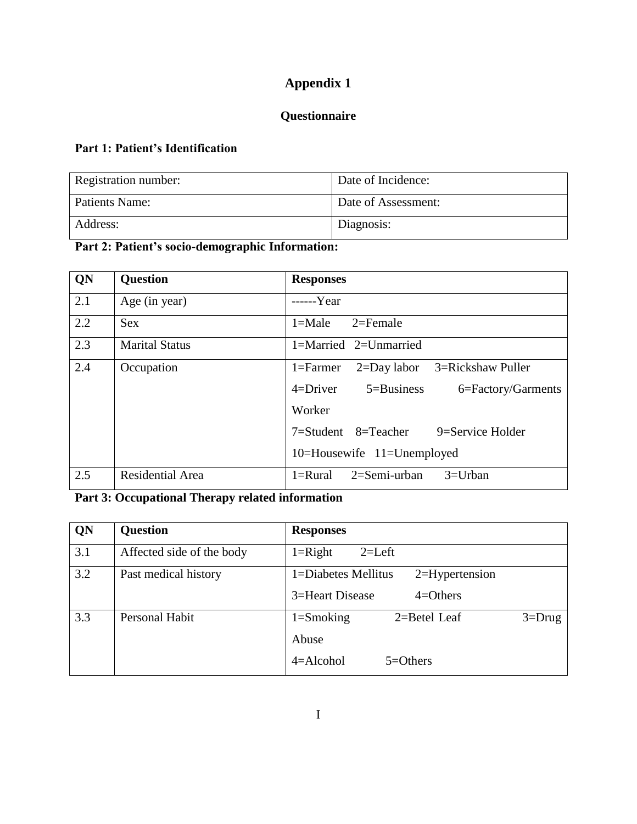# **Questionnaire**

# **Part 1: Patient's Identification**

| Registration number:  | Date of Incidence:  |
|-----------------------|---------------------|
| <b>Patients Name:</b> | Date of Assessment: |
| Address:              | Diagnosis:          |

# **Part 2: Patient's socio-demographic Information:**

| QN  | <b>Question</b>       | <b>Responses</b>                                  |
|-----|-----------------------|---------------------------------------------------|
| 2.1 | Age (in year)         | $---Year$                                         |
| 2.2 | <b>Sex</b>            | $1 = Male$<br>$2 =$ Female                        |
| 2.3 | <b>Marital Status</b> | $1 =$ Married $2 =$ Unmarried                     |
| 2.4 | Occupation            | 2=Day labor 3=Rickshaw Puller<br>$1 =$ Farmer     |
|     |                       | $4 = Driver$ $5 = Business$<br>6=Factory/Garments |
|     |                       | Worker                                            |
|     |                       | 7=Student 8=Teacher<br>9=Service Holder           |
|     |                       | 10=Housewife 11=Unemployed                        |
| 2.5 | Residential Area      | 2=Semi-urban<br>$3=U$ rban<br>$1 = Rural$         |

# **Part 3: Occupational Therapy related information**

| QN  | <b>Question</b>           | <b>Responses</b>                                                            |
|-----|---------------------------|-----------------------------------------------------------------------------|
| 3.1 | Affected side of the body | $1 =$ Right<br>$2=Left$                                                     |
| 3.2 | Past medical history      | 1=Diabetes Mellitus<br>$2=$ Hypertension<br>3=Heart Disease<br>$4 = Others$ |
| 3.3 | Personal Habit            | $1 =$ Smoking<br>2=Betel Leaf<br>$3 = Drug$<br>Abuse                        |
|     |                           | $4 =$ Alcohol<br>$5 = Others$                                               |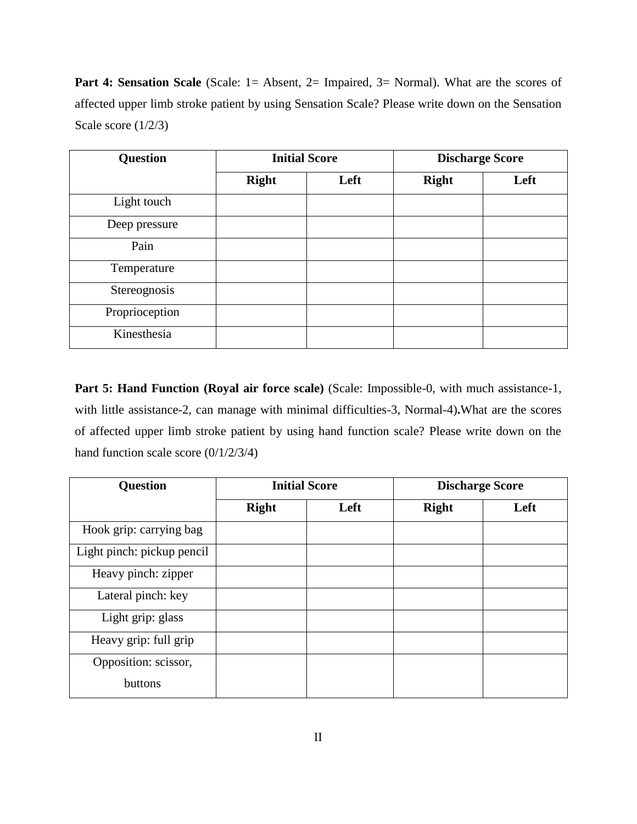**Part 4: Sensation Scale** (Scale: 1= Absent, 2= Impaired, 3= Normal). What are the scores of affected upper limb stroke patient by using Sensation Scale? Please write down on the Sensation Scale score (1/2/3)

| <b>Question</b> | <b>Initial Score</b> |      | <b>Discharge Score</b> |      |
|-----------------|----------------------|------|------------------------|------|
|                 | <b>Right</b>         | Left | <b>Right</b>           | Left |
| Light touch     |                      |      |                        |      |
| Deep pressure   |                      |      |                        |      |
| Pain            |                      |      |                        |      |
| Temperature     |                      |      |                        |      |
| Stereognosis    |                      |      |                        |      |
| Proprioception  |                      |      |                        |      |
| Kinesthesia     |                      |      |                        |      |

Part 5: Hand Function (Royal air force scale) (Scale: Impossible-0, with much assistance-1, with little assistance-2, can manage with minimal difficulties-3, Normal-4)**.**What are the scores of affected upper limb stroke patient by using hand function scale? Please write down on the hand function scale score (0/1/2/3/4)

| <b>Question</b>            | <b>Initial Score</b> |      | <b>Discharge Score</b> |      |
|----------------------------|----------------------|------|------------------------|------|
|                            | <b>Right</b>         | Left | <b>Right</b>           | Left |
| Hook grip: carrying bag    |                      |      |                        |      |
| Light pinch: pickup pencil |                      |      |                        |      |
| Heavy pinch: zipper        |                      |      |                        |      |
| Lateral pinch: key         |                      |      |                        |      |
| Light grip: glass          |                      |      |                        |      |
| Heavy grip: full grip      |                      |      |                        |      |
| Opposition: scissor,       |                      |      |                        |      |
| buttons                    |                      |      |                        |      |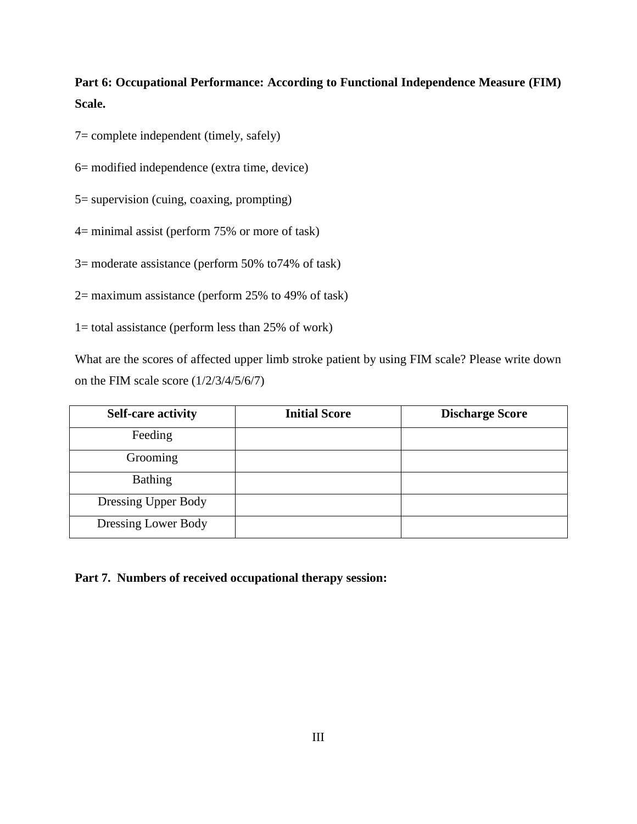**Part 6: Occupational Performance: According to Functional Independence Measure (FIM) Scale.**

7= complete independent (timely, safely)

6= modified independence (extra time, device)

5= supervision (cuing, coaxing, prompting)

4= minimal assist (perform 75% or more of task)

3= moderate assistance (perform 50% to74% of task)

2= maximum assistance (perform 25% to 49% of task)

1= total assistance (perform less than 25% of work)

What are the scores of affected upper limb stroke patient by using FIM scale? Please write down on the FIM scale score (1/2/3/4/5/6/7)

| <b>Self-care activity</b> | <b>Initial Score</b> | <b>Discharge Score</b> |
|---------------------------|----------------------|------------------------|
| Feeding                   |                      |                        |
| Grooming                  |                      |                        |
| <b>Bathing</b>            |                      |                        |
| Dressing Upper Body       |                      |                        |
| Dressing Lower Body       |                      |                        |

**Part 7. Numbers of received occupational therapy session:**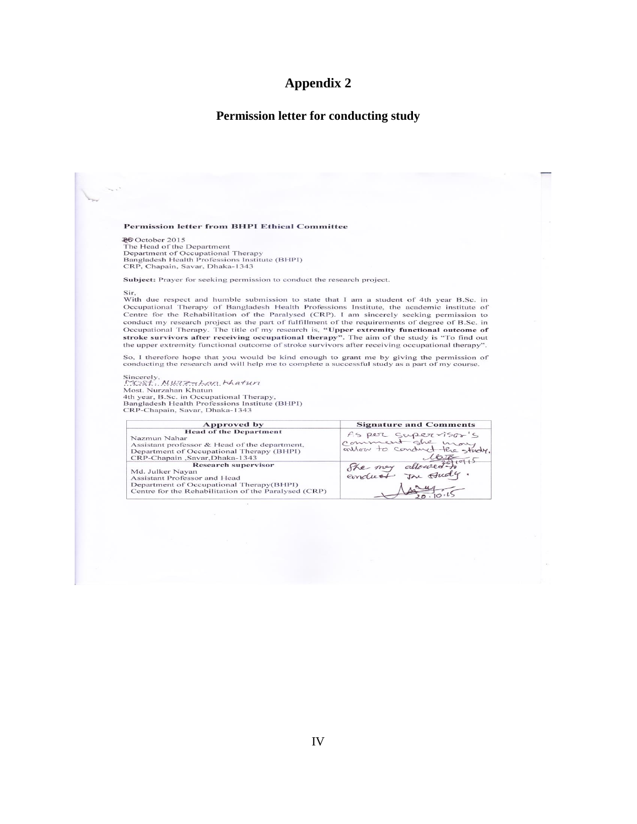#### **Permission letter for conducting study**

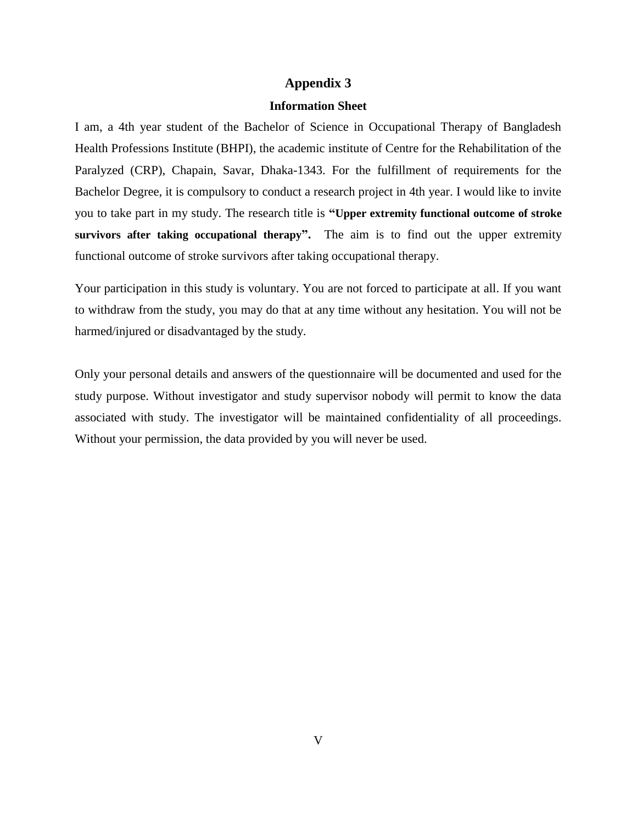#### **Information Sheet**

I am, a 4th year student of the Bachelor of Science in Occupational Therapy of Bangladesh Health Professions Institute (BHPI), the academic institute of Centre for the Rehabilitation of the Paralyzed (CRP), Chapain, Savar, Dhaka-1343. For the fulfillment of requirements for the Bachelor Degree, it is compulsory to conduct a research project in 4th year. I would like to invite you to take part in my study. The research title is **"Upper extremity functional outcome of stroke survivors after taking occupational therapy".** The aim is to find out the upper extremity functional outcome of stroke survivors after taking occupational therapy.

Your participation in this study is voluntary. You are not forced to participate at all. If you want to withdraw from the study, you may do that at any time without any hesitation. You will not be harmed/injured or disadvantaged by the study.

Only your personal details and answers of the questionnaire will be documented and used for the study purpose. Without investigator and study supervisor nobody will permit to know the data associated with study. The investigator will be maintained confidentiality of all proceedings. Without your permission, the data provided by you will never be used.